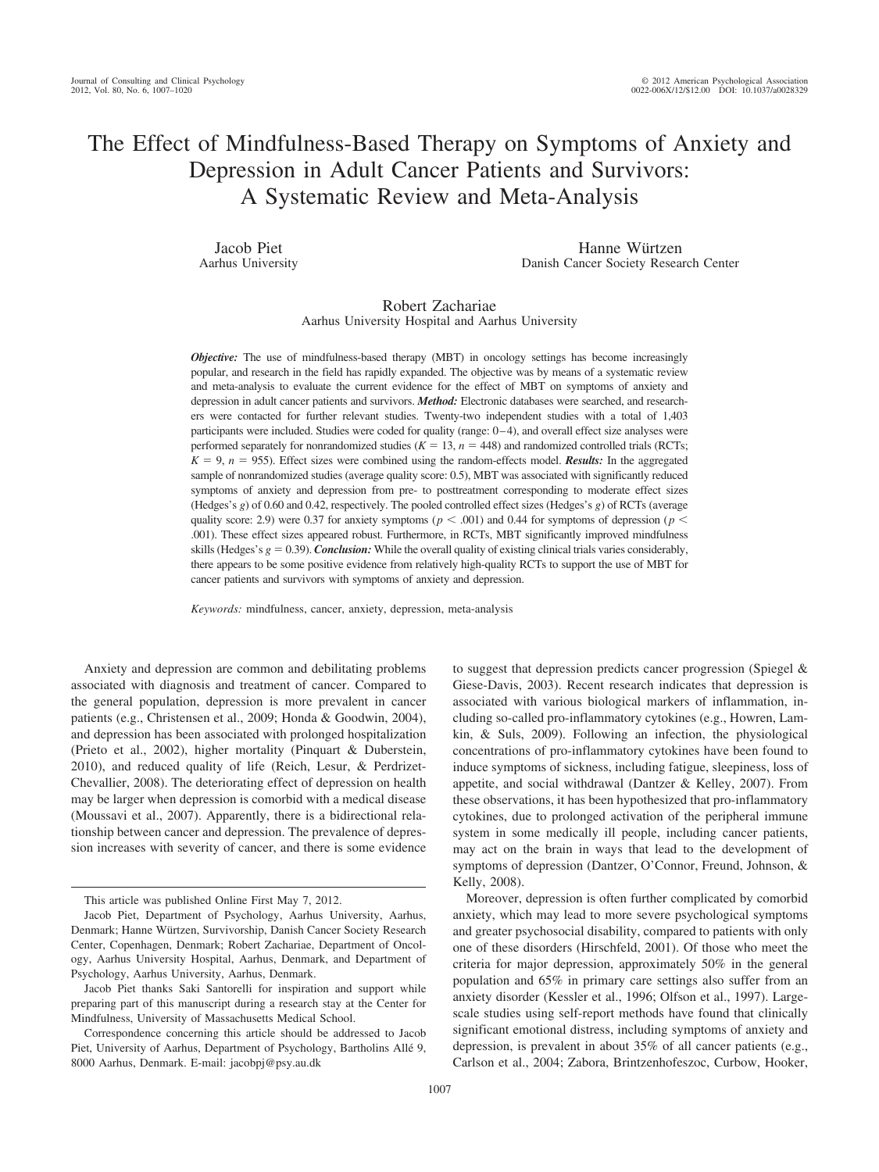# The Effect of Mindfulness-Based Therapy on Symptoms of Anxiety and Depression in Adult Cancer Patients and Survivors: A Systematic Review and Meta-Analysis

Jacob Piet Aarhus University

Hanne Würtzen Danish Cancer Society Research Center

# Robert Zachariae Aarhus University Hospital and Aarhus University

*Objective:* The use of mindfulness-based therapy (MBT) in oncology settings has become increasingly popular, and research in the field has rapidly expanded. The objective was by means of a systematic review and meta-analysis to evaluate the current evidence for the effect of MBT on symptoms of anxiety and depression in adult cancer patients and survivors. *Method:* Electronic databases were searched, and researchers were contacted for further relevant studies. Twenty-two independent studies with a total of 1,403 participants were included. Studies were coded for quality (range: 0-4), and overall effect size analyses were performed separately for nonrandomized studies  $(K = 13, n = 448)$  and randomized controlled trials (RCTs;  $K = 9$ ,  $n = 955$ ). Effect sizes were combined using the random-effects model. *Results:* In the aggregated sample of nonrandomized studies (average quality score: 0.5), MBT was associated with significantly reduced symptoms of anxiety and depression from pre- to posttreatment corresponding to moderate effect sizes (Hedges's *g*) of 0.60 and 0.42, respectively. The pooled controlled effect sizes (Hedges's *g*) of RCTs (average quality score: 2.9) were 0.37 for anxiety symptoms ( $p < .001$ ) and 0.44 for symptoms of depression ( $p <$ .001). These effect sizes appeared robust. Furthermore, in RCTs, MBT significantly improved mindfulness skills (Hedges's  $g = 0.39$ ). *Conclusion:* While the overall quality of existing clinical trials varies considerably, there appears to be some positive evidence from relatively high-quality RCTs to support the use of MBT for cancer patients and survivors with symptoms of anxiety and depression.

*Keywords:* mindfulness, cancer, anxiety, depression, meta-analysis

Anxiety and depression are common and debilitating problems associated with diagnosis and treatment of cancer. Compared to the general population, depression is more prevalent in cancer patients (e.g., Christensen et al., 2009; Honda & Goodwin, 2004), and depression has been associated with prolonged hospitalization (Prieto et al., 2002), higher mortality (Pinquart & Duberstein, 2010), and reduced quality of life (Reich, Lesur, & Perdrizet-Chevallier, 2008). The deteriorating effect of depression on health may be larger when depression is comorbid with a medical disease (Moussavi et al., 2007). Apparently, there is a bidirectional relationship between cancer and depression. The prevalence of depression increases with severity of cancer, and there is some evidence

to suggest that depression predicts cancer progression (Spiegel & Giese-Davis, 2003). Recent research indicates that depression is associated with various biological markers of inflammation, including so-called pro-inflammatory cytokines (e.g., Howren, Lamkin, & Suls, 2009). Following an infection, the physiological concentrations of pro-inflammatory cytokines have been found to induce symptoms of sickness, including fatigue, sleepiness, loss of appetite, and social withdrawal (Dantzer & Kelley, 2007). From these observations, it has been hypothesized that pro-inflammatory cytokines, due to prolonged activation of the peripheral immune system in some medically ill people, including cancer patients, may act on the brain in ways that lead to the development of symptoms of depression (Dantzer, O'Connor, Freund, Johnson, & Kelly, 2008).

Moreover, depression is often further complicated by comorbid anxiety, which may lead to more severe psychological symptoms and greater psychosocial disability, compared to patients with only one of these disorders (Hirschfeld, 2001). Of those who meet the criteria for major depression, approximately 50% in the general population and 65% in primary care settings also suffer from an anxiety disorder (Kessler et al., 1996; Olfson et al., 1997). Largescale studies using self-report methods have found that clinically significant emotional distress, including symptoms of anxiety and depression, is prevalent in about 35% of all cancer patients (e.g., Carlson et al., 2004; Zabora, Brintzenhofeszoc, Curbow, Hooker,

This article was published Online First May 7, 2012.

Jacob Piet, Department of Psychology, Aarhus University, Aarhus, Denmark; Hanne Würtzen, Survivorship, Danish Cancer Society Research Center, Copenhagen, Denmark; Robert Zachariae, Department of Oncology, Aarhus University Hospital, Aarhus, Denmark, and Department of Psychology, Aarhus University, Aarhus, Denmark.

Jacob Piet thanks Saki Santorelli for inspiration and support while preparing part of this manuscript during a research stay at the Center for Mindfulness, University of Massachusetts Medical School.

Correspondence concerning this article should be addressed to Jacob Piet, University of Aarhus, Department of Psychology, Bartholins Allé 9, 8000 Aarhus, Denmark. E-mail: jacobpj@psy.au.dk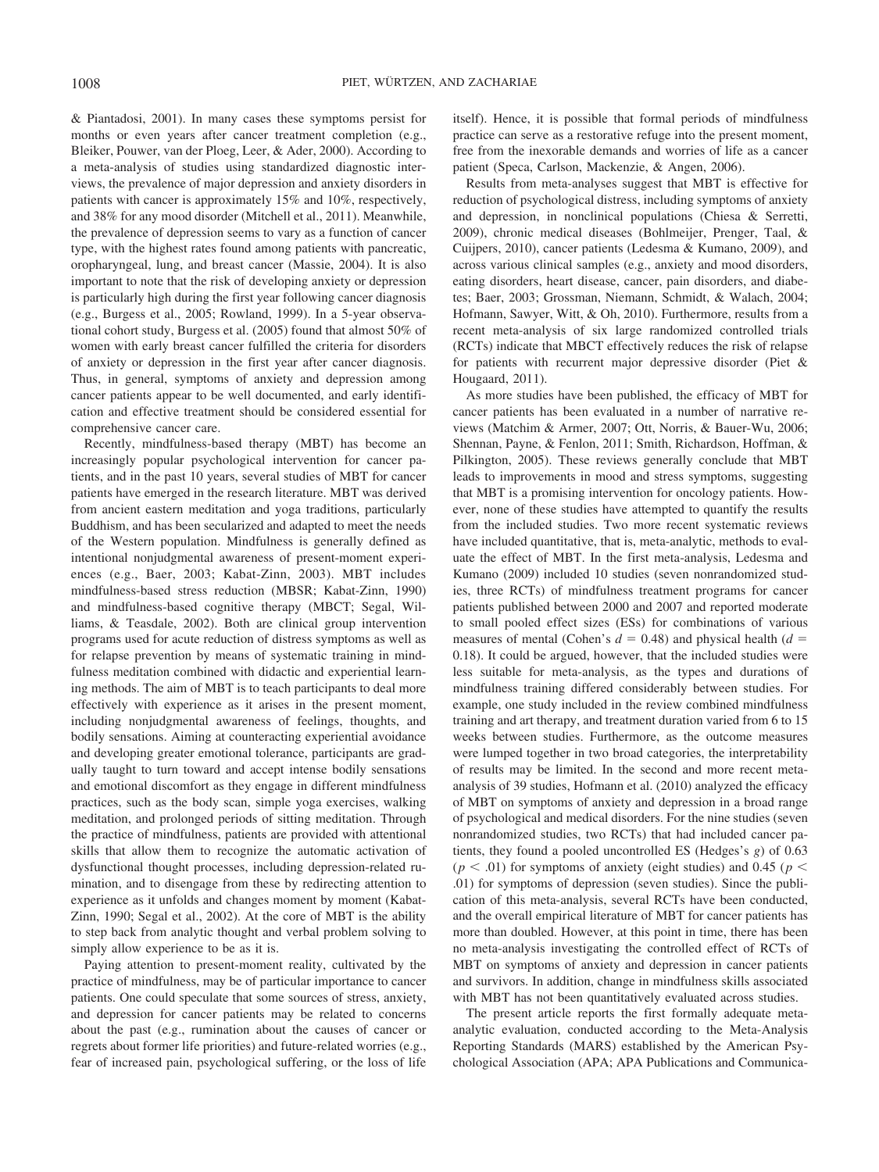& Piantadosi, 2001). In many cases these symptoms persist for months or even years after cancer treatment completion (e.g., Bleiker, Pouwer, van der Ploeg, Leer, & Ader, 2000). According to a meta-analysis of studies using standardized diagnostic interviews, the prevalence of major depression and anxiety disorders in patients with cancer is approximately 15% and 10%, respectively, and 38% for any mood disorder (Mitchell et al., 2011). Meanwhile, the prevalence of depression seems to vary as a function of cancer type, with the highest rates found among patients with pancreatic, oropharyngeal, lung, and breast cancer (Massie, 2004). It is also important to note that the risk of developing anxiety or depression is particularly high during the first year following cancer diagnosis (e.g., Burgess et al., 2005; Rowland, 1999). In a 5-year observational cohort study, Burgess et al. (2005) found that almost 50% of women with early breast cancer fulfilled the criteria for disorders of anxiety or depression in the first year after cancer diagnosis. Thus, in general, symptoms of anxiety and depression among cancer patients appear to be well documented, and early identification and effective treatment should be considered essential for comprehensive cancer care.

Recently, mindfulness-based therapy (MBT) has become an increasingly popular psychological intervention for cancer patients, and in the past 10 years, several studies of MBT for cancer patients have emerged in the research literature. MBT was derived from ancient eastern meditation and yoga traditions, particularly Buddhism, and has been secularized and adapted to meet the needs of the Western population. Mindfulness is generally defined as intentional nonjudgmental awareness of present-moment experiences (e.g., Baer, 2003; Kabat-Zinn, 2003). MBT includes mindfulness-based stress reduction (MBSR; Kabat-Zinn, 1990) and mindfulness-based cognitive therapy (MBCT; Segal, Williams, & Teasdale, 2002). Both are clinical group intervention programs used for acute reduction of distress symptoms as well as for relapse prevention by means of systematic training in mindfulness meditation combined with didactic and experiential learning methods. The aim of MBT is to teach participants to deal more effectively with experience as it arises in the present moment, including nonjudgmental awareness of feelings, thoughts, and bodily sensations. Aiming at counteracting experiential avoidance and developing greater emotional tolerance, participants are gradually taught to turn toward and accept intense bodily sensations and emotional discomfort as they engage in different mindfulness practices, such as the body scan, simple yoga exercises, walking meditation, and prolonged periods of sitting meditation. Through the practice of mindfulness, patients are provided with attentional skills that allow them to recognize the automatic activation of dysfunctional thought processes, including depression-related rumination, and to disengage from these by redirecting attention to experience as it unfolds and changes moment by moment (Kabat-Zinn, 1990; Segal et al., 2002). At the core of MBT is the ability to step back from analytic thought and verbal problem solving to simply allow experience to be as it is.

Paying attention to present-moment reality, cultivated by the practice of mindfulness, may be of particular importance to cancer patients. One could speculate that some sources of stress, anxiety, and depression for cancer patients may be related to concerns about the past (e.g., rumination about the causes of cancer or regrets about former life priorities) and future-related worries (e.g., fear of increased pain, psychological suffering, or the loss of life

itself). Hence, it is possible that formal periods of mindfulness practice can serve as a restorative refuge into the present moment, free from the inexorable demands and worries of life as a cancer patient (Speca, Carlson, Mackenzie, & Angen, 2006).

Results from meta-analyses suggest that MBT is effective for reduction of psychological distress, including symptoms of anxiety and depression, in nonclinical populations (Chiesa & Serretti, 2009), chronic medical diseases (Bohlmeijer, Prenger, Taal, & Cuijpers, 2010), cancer patients (Ledesma & Kumano, 2009), and across various clinical samples (e.g., anxiety and mood disorders, eating disorders, heart disease, cancer, pain disorders, and diabetes; Baer, 2003; Grossman, Niemann, Schmidt, & Walach, 2004; Hofmann, Sawyer, Witt, & Oh, 2010). Furthermore, results from a recent meta-analysis of six large randomized controlled trials (RCTs) indicate that MBCT effectively reduces the risk of relapse for patients with recurrent major depressive disorder (Piet & Hougaard, 2011).

As more studies have been published, the efficacy of MBT for cancer patients has been evaluated in a number of narrative reviews (Matchim & Armer, 2007; Ott, Norris, & Bauer-Wu, 2006; Shennan, Payne, & Fenlon, 2011; Smith, Richardson, Hoffman, & Pilkington, 2005). These reviews generally conclude that MBT leads to improvements in mood and stress symptoms, suggesting that MBT is a promising intervention for oncology patients. However, none of these studies have attempted to quantify the results from the included studies. Two more recent systematic reviews have included quantitative, that is, meta-analytic, methods to evaluate the effect of MBT. In the first meta-analysis, Ledesma and Kumano (2009) included 10 studies (seven nonrandomized studies, three RCTs) of mindfulness treatment programs for cancer patients published between 2000 and 2007 and reported moderate to small pooled effect sizes (ESs) for combinations of various measures of mental (Cohen's  $d = 0.48$ ) and physical health ( $d =$ 0.18). It could be argued, however, that the included studies were less suitable for meta-analysis, as the types and durations of mindfulness training differed considerably between studies. For example, one study included in the review combined mindfulness training and art therapy, and treatment duration varied from 6 to 15 weeks between studies. Furthermore, as the outcome measures were lumped together in two broad categories, the interpretability of results may be limited. In the second and more recent metaanalysis of 39 studies, Hofmann et al. (2010) analyzed the efficacy of MBT on symptoms of anxiety and depression in a broad range of psychological and medical disorders. For the nine studies (seven nonrandomized studies, two RCTs) that had included cancer patients, they found a pooled uncontrolled ES (Hedges's *g*) of 0.63  $(p < .01)$  for symptoms of anxiety (eight studies) and 0.45 ( $p <$ .01) for symptoms of depression (seven studies). Since the publication of this meta-analysis, several RCTs have been conducted, and the overall empirical literature of MBT for cancer patients has more than doubled. However, at this point in time, there has been no meta-analysis investigating the controlled effect of RCTs of MBT on symptoms of anxiety and depression in cancer patients and survivors. In addition, change in mindfulness skills associated with MBT has not been quantitatively evaluated across studies.

The present article reports the first formally adequate metaanalytic evaluation, conducted according to the Meta-Analysis Reporting Standards (MARS) established by the American Psychological Association (APA; APA Publications and Communica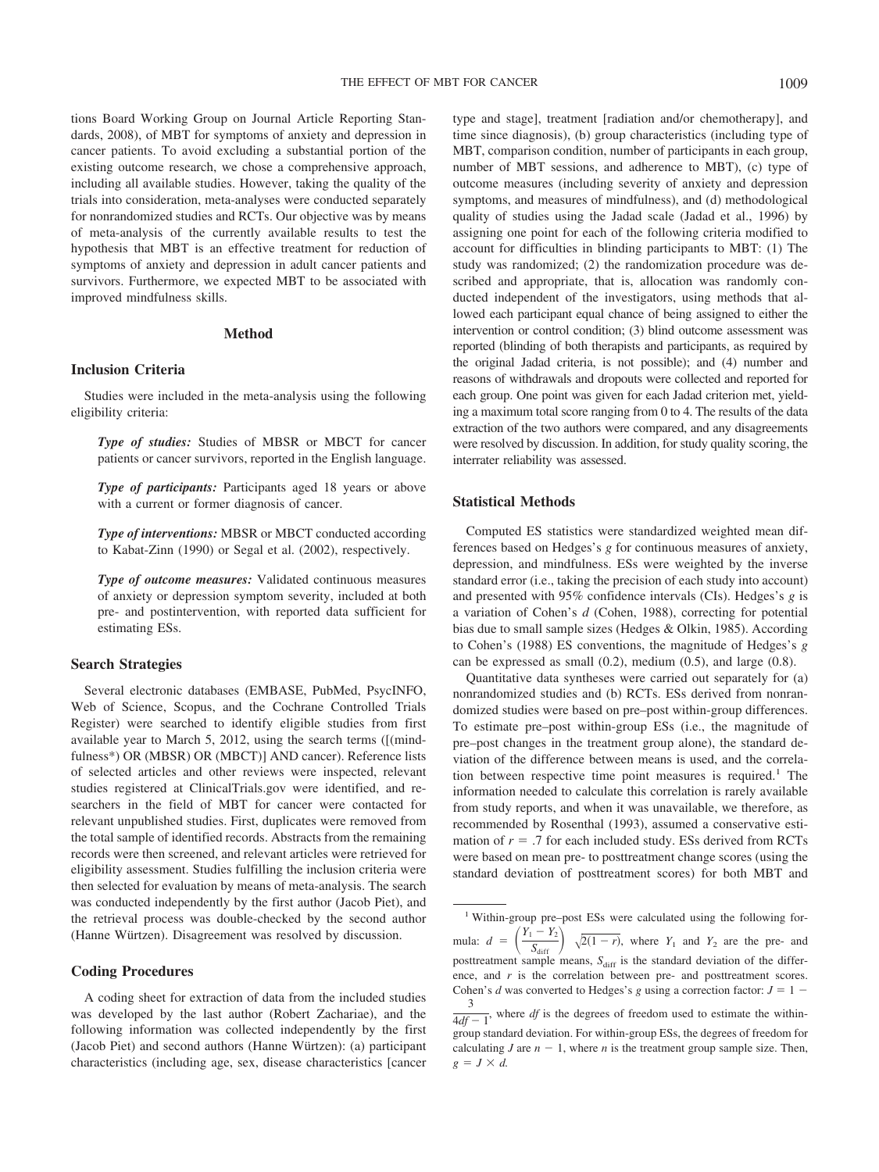tions Board Working Group on Journal Article Reporting Standards, 2008), of MBT for symptoms of anxiety and depression in cancer patients. To avoid excluding a substantial portion of the existing outcome research, we chose a comprehensive approach, including all available studies. However, taking the quality of the trials into consideration, meta-analyses were conducted separately for nonrandomized studies and RCTs. Our objective was by means of meta-analysis of the currently available results to test the hypothesis that MBT is an effective treatment for reduction of symptoms of anxiety and depression in adult cancer patients and survivors. Furthermore, we expected MBT to be associated with improved mindfulness skills.

# **Method**

#### **Inclusion Criteria**

Studies were included in the meta-analysis using the following eligibility criteria:

*Type of studies:* Studies of MBSR or MBCT for cancer patients or cancer survivors, reported in the English language.

*Type of participants:* Participants aged 18 years or above with a current or former diagnosis of cancer.

*Type of interventions:* MBSR or MBCT conducted according to Kabat-Zinn (1990) or Segal et al. (2002), respectively.

*Type of outcome measures:* Validated continuous measures of anxiety or depression symptom severity, included at both pre- and postintervention, with reported data sufficient for estimating ESs.

#### **Search Strategies**

Several electronic databases (EMBASE, PubMed, PsycINFO, Web of Science, Scopus, and the Cochrane Controlled Trials Register) were searched to identify eligible studies from first available year to March 5, 2012, using the search terms ([(mindfulness\*) OR (MBSR) OR (MBCT)] AND cancer). Reference lists of selected articles and other reviews were inspected, relevant studies registered at ClinicalTrials.gov were identified, and researchers in the field of MBT for cancer were contacted for relevant unpublished studies. First, duplicates were removed from the total sample of identified records. Abstracts from the remaining records were then screened, and relevant articles were retrieved for eligibility assessment. Studies fulfilling the inclusion criteria were then selected for evaluation by means of meta-analysis. The search was conducted independently by the first author (Jacob Piet), and the retrieval process was double-checked by the second author (Hanne Würtzen). Disagreement was resolved by discussion.

#### **Coding Procedures**

A coding sheet for extraction of data from the included studies was developed by the last author (Robert Zachariae), and the following information was collected independently by the first (Jacob Piet) and second authors (Hanne Würtzen): (a) participant characteristics (including age, sex, disease characteristics [cancer

type and stage], treatment [radiation and/or chemotherapy], and time since diagnosis), (b) group characteristics (including type of MBT, comparison condition, number of participants in each group, number of MBT sessions, and adherence to MBT), (c) type of outcome measures (including severity of anxiety and depression symptoms, and measures of mindfulness), and (d) methodological quality of studies using the Jadad scale (Jadad et al., 1996) by assigning one point for each of the following criteria modified to account for difficulties in blinding participants to MBT: (1) The study was randomized; (2) the randomization procedure was described and appropriate, that is, allocation was randomly conducted independent of the investigators, using methods that allowed each participant equal chance of being assigned to either the intervention or control condition; (3) blind outcome assessment was reported (blinding of both therapists and participants, as required by the original Jadad criteria, is not possible); and (4) number and reasons of withdrawals and dropouts were collected and reported for each group. One point was given for each Jadad criterion met, yielding a maximum total score ranging from 0 to 4. The results of the data extraction of the two authors were compared, and any disagreements were resolved by discussion. In addition, for study quality scoring, the interrater reliability was assessed.

## **Statistical Methods**

Computed ES statistics were standardized weighted mean differences based on Hedges's *g* for continuous measures of anxiety, depression, and mindfulness. ESs were weighted by the inverse standard error (i.e., taking the precision of each study into account) and presented with 95% confidence intervals (CIs). Hedges's *g* is a variation of Cohen's *d* (Cohen, 1988), correcting for potential bias due to small sample sizes (Hedges & Olkin, 1985). According to Cohen's (1988) ES conventions, the magnitude of Hedges's *g* can be expressed as small (0.2), medium (0.5), and large (0.8).

Quantitative data syntheses were carried out separately for (a) nonrandomized studies and (b) RCTs. ESs derived from nonrandomized studies were based on pre–post within-group differences. To estimate pre–post within-group ESs (i.e., the magnitude of pre–post changes in the treatment group alone), the standard deviation of the difference between means is used, and the correlation between respective time point measures is required.<sup>1</sup> The information needed to calculate this correlation is rarely available from study reports, and when it was unavailable, we therefore, as recommended by Rosenthal (1993), assumed a conservative estimation of  $r = .7$  for each included study. ESs derived from RCTs were based on mean pre- to posttreatment change scores (using the standard deviation of posttreatment scores) for both MBT and

<sup>1</sup> Within-group pre–post ESs were calculated using the following formula:  $d = \left(\frac{Y_1 - Y_2}{S_{\text{diff}}}\right) \sqrt{2(1 - r)}$ , where  $Y_1$  and  $Y_2$  are the pre- and posttreatment sample means,  $S<sub>diff</sub>$  is the standard deviation of the difference, and *r* is the correlation between pre- and posttreatment scores. Cohen's *d* was converted to Hedges's *g* using a correction factor:  $J = 1$ 3  $\frac{4df-1}{4df-1}$ , where *df* is the degrees of freedom used to estimate the withingroup standard deviation. For within-group ESs, the degrees of freedom for calculating  $J$  are  $n - 1$ , where  $n$  is the treatment group sample size. Then,  $g = J \times d$ .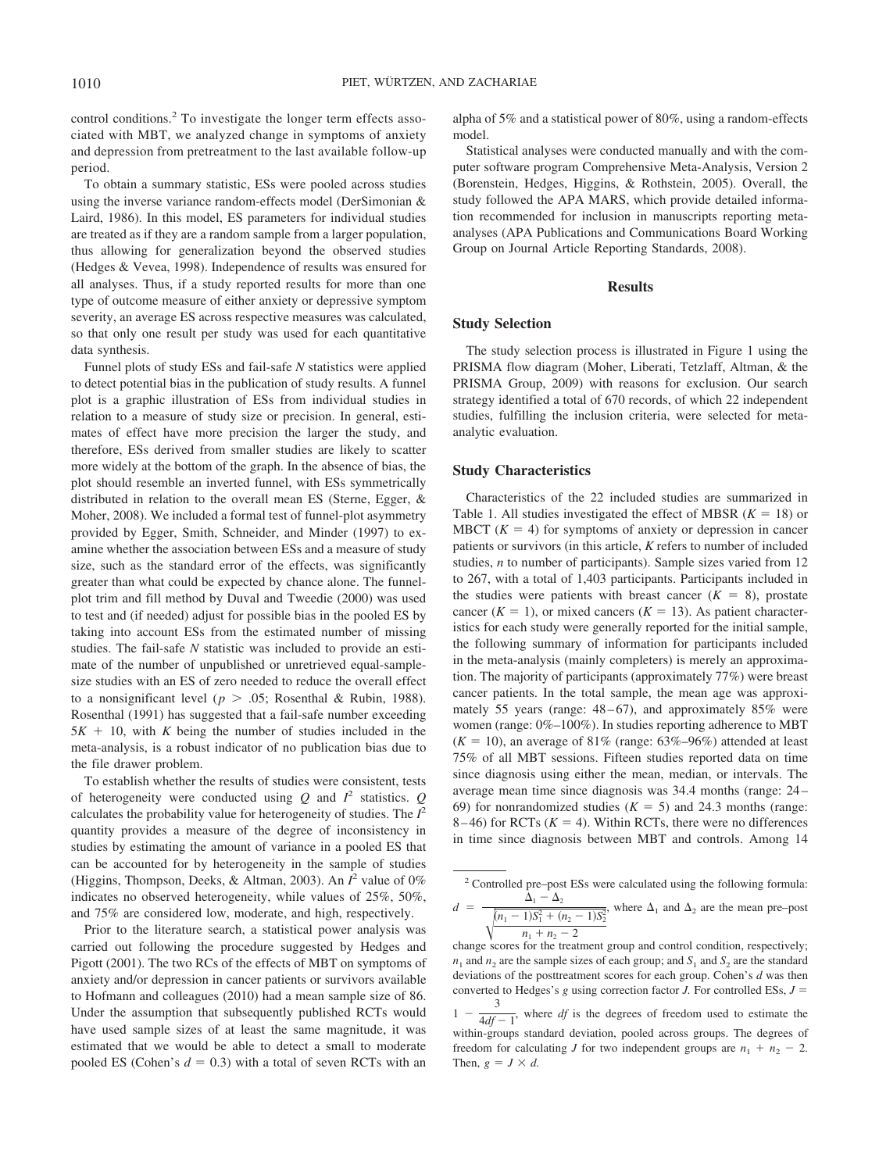control conditions.<sup>2</sup> To investigate the longer term effects associated with MBT, we analyzed change in symptoms of anxiety and depression from pretreatment to the last available follow-up period.

To obtain a summary statistic, ESs were pooled across studies using the inverse variance random-effects model (DerSimonian & Laird, 1986). In this model, ES parameters for individual studies are treated as if they are a random sample from a larger population, thus allowing for generalization beyond the observed studies (Hedges & Vevea, 1998). Independence of results was ensured for all analyses. Thus, if a study reported results for more than one type of outcome measure of either anxiety or depressive symptom severity, an average ES across respective measures was calculated, so that only one result per study was used for each quantitative data synthesis.

Funnel plots of study ESs and fail-safe *N* statistics were applied to detect potential bias in the publication of study results. A funnel plot is a graphic illustration of ESs from individual studies in relation to a measure of study size or precision. In general, estimates of effect have more precision the larger the study, and therefore, ESs derived from smaller studies are likely to scatter more widely at the bottom of the graph. In the absence of bias, the plot should resemble an inverted funnel, with ESs symmetrically distributed in relation to the overall mean ES (Sterne, Egger, & Moher, 2008). We included a formal test of funnel-plot asymmetry provided by Egger, Smith, Schneider, and Minder (1997) to examine whether the association between ESs and a measure of study size, such as the standard error of the effects, was significantly greater than what could be expected by chance alone. The funnelplot trim and fill method by Duval and Tweedie (2000) was used to test and (if needed) adjust for possible bias in the pooled ES by taking into account ESs from the estimated number of missing studies. The fail-safe *N* statistic was included to provide an estimate of the number of unpublished or unretrieved equal-samplesize studies with an ES of zero needed to reduce the overall effect to a nonsignificant level ( $p > .05$ ; Rosenthal & Rubin, 1988). Rosenthal (1991) has suggested that a fail-safe number exceeding  $5K + 10$ , with *K* being the number of studies included in the meta-analysis, is a robust indicator of no publication bias due to the file drawer problem.

To establish whether the results of studies were consistent, tests of heterogeneity were conducted using *Q* and *I* <sup>2</sup> statistics. *Q* calculates the probability value for heterogeneity of studies. The *I* 2 quantity provides a measure of the degree of inconsistency in studies by estimating the amount of variance in a pooled ES that can be accounted for by heterogeneity in the sample of studies (Higgins, Thompson, Deeks, & Altman, 2003). An *I* <sup>2</sup> value of 0% indicates no observed heterogeneity, while values of 25%, 50%, and 75% are considered low, moderate, and high, respectively.

Prior to the literature search, a statistical power analysis was carried out following the procedure suggested by Hedges and Pigott (2001). The two RCs of the effects of MBT on symptoms of anxiety and/or depression in cancer patients or survivors available to Hofmann and colleagues (2010) had a mean sample size of 86. Under the assumption that subsequently published RCTs would have used sample sizes of at least the same magnitude, it was estimated that we would be able to detect a small to moderate pooled ES (Cohen's  $d = 0.3$ ) with a total of seven RCTs with an

alpha of 5% and a statistical power of 80%, using a random-effects model.

Statistical analyses were conducted manually and with the computer software program Comprehensive Meta-Analysis, Version 2 (Borenstein, Hedges, Higgins, & Rothstein, 2005). Overall, the study followed the APA MARS, which provide detailed information recommended for inclusion in manuscripts reporting metaanalyses (APA Publications and Communications Board Working Group on Journal Article Reporting Standards, 2008).

## **Results**

## **Study Selection**

The study selection process is illustrated in Figure 1 using the PRISMA flow diagram (Moher, Liberati, Tetzlaff, Altman, & the PRISMA Group, 2009) with reasons for exclusion. Our search strategy identified a total of 670 records, of which 22 independent studies, fulfilling the inclusion criteria, were selected for metaanalytic evaluation.

#### **Study Characteristics**

Characteristics of the 22 included studies are summarized in Table 1. All studies investigated the effect of MBSR  $(K = 18)$  or MBCT  $(K = 4)$  for symptoms of anxiety or depression in cancer patients or survivors (in this article, *K* refers to number of included studies, *n* to number of participants). Sample sizes varied from 12 to 267, with a total of 1,403 participants. Participants included in the studies were patients with breast cancer  $(K = 8)$ , prostate cancer  $(K = 1)$ , or mixed cancers  $(K = 13)$ . As patient characteristics for each study were generally reported for the initial sample, the following summary of information for participants included in the meta-analysis (mainly completers) is merely an approximation. The majority of participants (approximately 77%) were breast cancer patients. In the total sample, the mean age was approximately 55 years (range:  $48-67$ ), and approximately 85% were women (range: 0%–100%). In studies reporting adherence to MBT  $(K = 10)$ , an average of 81% (range: 63%–96%) attended at least 75% of all MBT sessions. Fifteen studies reported data on time since diagnosis using either the mean, median, or intervals. The average mean time since diagnosis was 34.4 months (range: 24 – 69) for nonrandomized studies  $(K = 5)$  and 24.3 months (range:  $8-46$ ) for RCTs ( $K = 4$ ). Within RCTs, there were no differences in time since diagnosis between MBT and controls. Among 14

<sup>2</sup> Controlled pre–post ESs were calculated using the following formula:  $d = \frac{\Delta_1 - \Delta_2}{\sqrt{1 - \Delta_2}}$  $\frac{(n_1 - 1)S_1^2 + (n_2 - 1)S_2^2}{n_1 + n_2 - 2}$ , where  $\Delta_1$  and  $\Delta_2$  are the mean pre–post  $n_1 + n_2 - 2$ 

change scores for the treatment group and control condition, respectively;  $n_1$  and  $n_2$  are the sample sizes of each group; and  $S_1$  and  $S_2$  are the standard deviations of the posttreatment scores for each group. Cohen's *d* was then converted to Hedges's  $g$  using correction factor  $J$ . For controlled ESs,  $J =$  $1 - \frac{3}{4df - 1}$ , where *df* is the degrees of freedom used to estimate the within-groups standard deviation, pooled across groups. The degrees of freedom for calculating *J* for two independent groups are  $n_1 + n_2 - 2$ . Then,  $g = J \times d$ .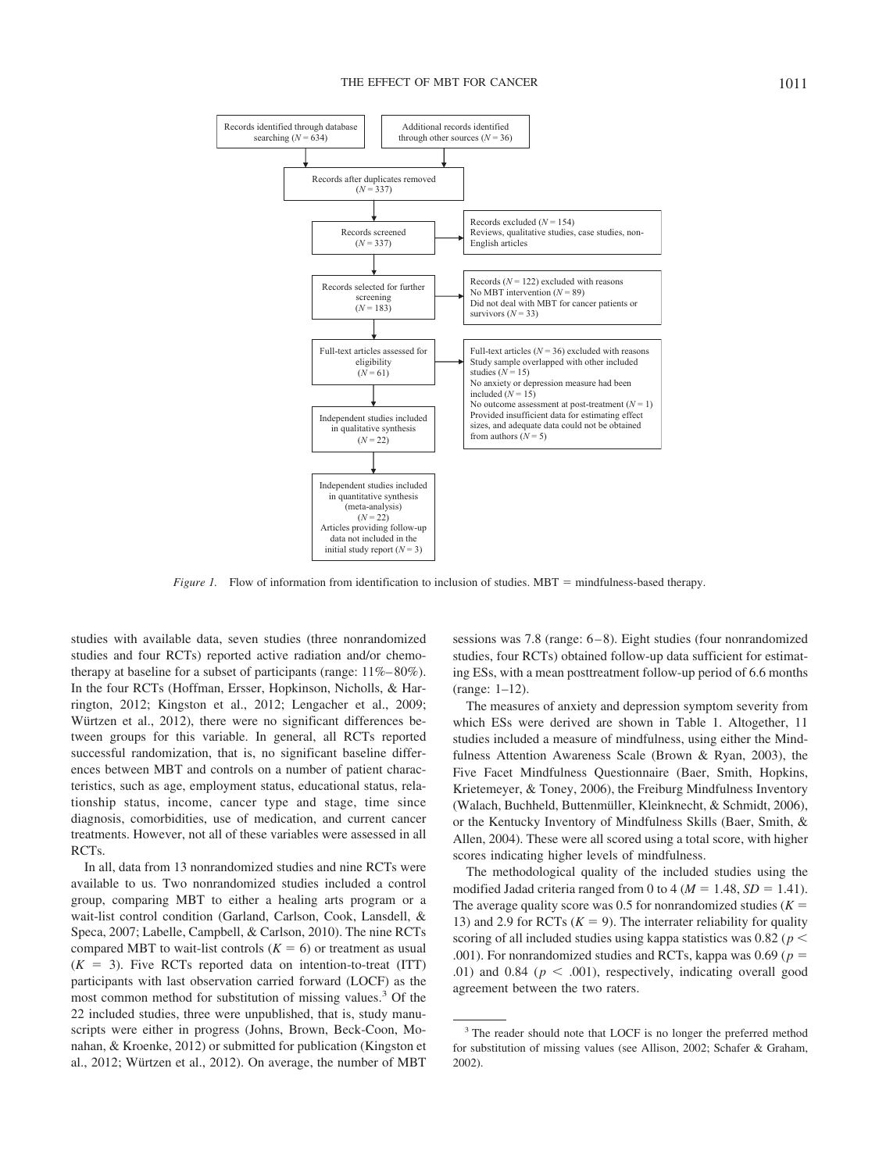#### THE EFFECT OF MBT FOR CANCER 1011



*Figure 1.* Flow of information from identification to inclusion of studies. MBT = mindfulness-based therapy.

studies with available data, seven studies (three nonrandomized studies and four RCTs) reported active radiation and/or chemotherapy at baseline for a subset of participants (range:  $11\% - 80\%$ ). In the four RCTs (Hoffman, Ersser, Hopkinson, Nicholls, & Harrington, 2012; Kingston et al., 2012; Lengacher et al., 2009; Würtzen et al., 2012), there were no significant differences between groups for this variable. In general, all RCTs reported successful randomization, that is, no significant baseline differences between MBT and controls on a number of patient characteristics, such as age, employment status, educational status, relationship status, income, cancer type and stage, time since diagnosis, comorbidities, use of medication, and current cancer treatments. However, not all of these variables were assessed in all RCTs.

In all, data from 13 nonrandomized studies and nine RCTs were available to us. Two nonrandomized studies included a control group, comparing MBT to either a healing arts program or a wait-list control condition (Garland, Carlson, Cook, Lansdell, & Speca, 2007; Labelle, Campbell, & Carlson, 2010). The nine RCTs compared MBT to wait-list controls  $(K = 6)$  or treatment as usual  $(K = 3)$ . Five RCTs reported data on intention-to-treat (ITT) participants with last observation carried forward (LOCF) as the most common method for substitution of missing values.<sup>3</sup> Of the 22 included studies, three were unpublished, that is, study manuscripts were either in progress (Johns, Brown, Beck-Coon, Monahan, & Kroenke, 2012) or submitted for publication (Kingston et al., 2012; Würtzen et al., 2012). On average, the number of MBT

sessions was  $7.8$  (range:  $6-8$ ). Eight studies (four nonrandomized studies, four RCTs) obtained follow-up data sufficient for estimating ESs, with a mean posttreatment follow-up period of 6.6 months (range: 1–12).

The measures of anxiety and depression symptom severity from which ESs were derived are shown in Table 1. Altogether, 11 studies included a measure of mindfulness, using either the Mindfulness Attention Awareness Scale (Brown & Ryan, 2003), the Five Facet Mindfulness Questionnaire (Baer, Smith, Hopkins, Krietemeyer, & Toney, 2006), the Freiburg Mindfulness Inventory (Walach, Buchheld, Buttenmüller, Kleinknecht, & Schmidt, 2006), or the Kentucky Inventory of Mindfulness Skills (Baer, Smith, & Allen, 2004). These were all scored using a total score, with higher scores indicating higher levels of mindfulness.

The methodological quality of the included studies using the modified Jadad criteria ranged from 0 to 4 ( $M = 1.48$ ,  $SD = 1.41$ ). The average quality score was 0.5 for nonrandomized studies  $(K =$ 13) and 2.9 for RCTs  $(K = 9)$ . The interrater reliability for quality scoring of all included studies using kappa statistics was  $0.82$  ( $p <$ .001). For nonrandomized studies and RCTs, kappa was  $0.69$  ( $p =$ .01) and 0.84 ( $p < .001$ ), respectively, indicating overall good agreement between the two raters.

<sup>&</sup>lt;sup>3</sup> The reader should note that LOCF is no longer the preferred method for substitution of missing values (see Allison, 2002; Schafer & Graham, 2002).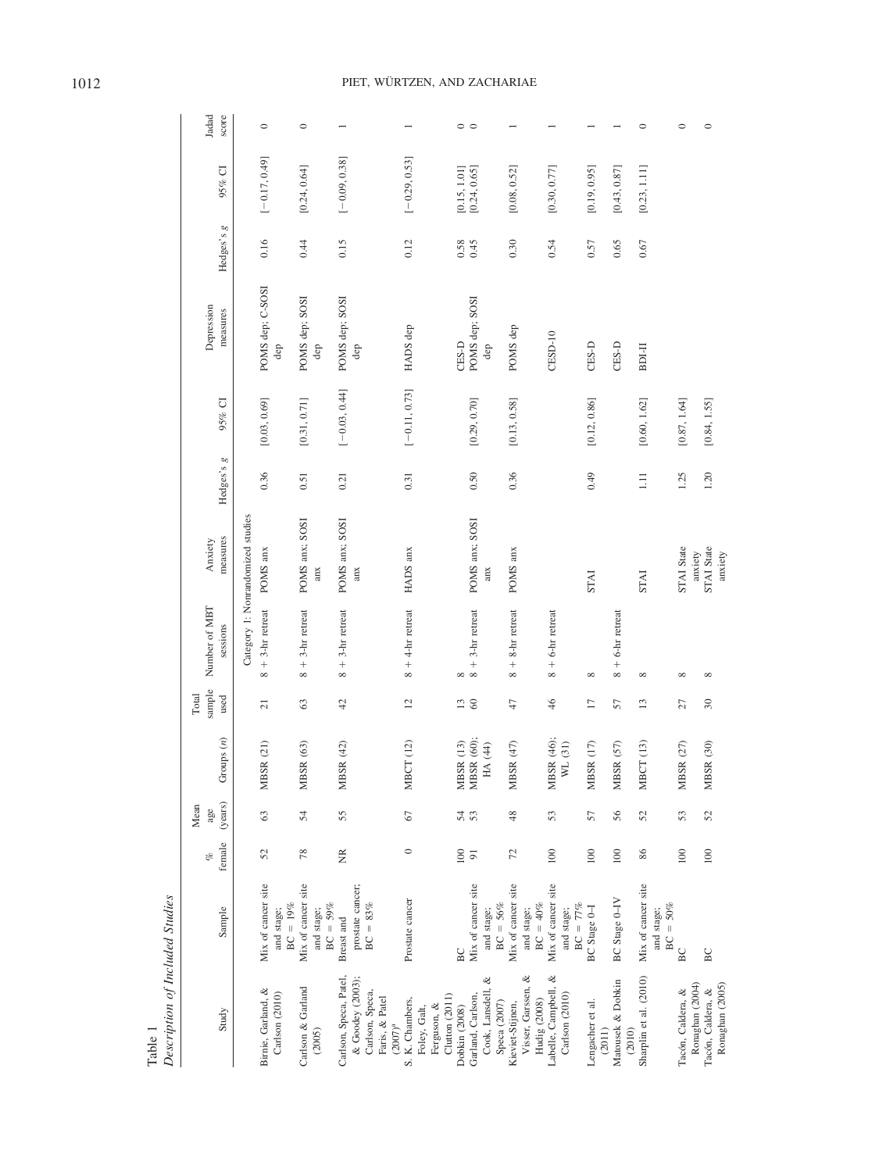| Description of Included Studies<br>Table                                                        |                                                      |                    |                                                                                                        |                                     |                         |                                            |                                   |            |                 |                                  |              |                              |                 |
|-------------------------------------------------------------------------------------------------|------------------------------------------------------|--------------------|--------------------------------------------------------------------------------------------------------|-------------------------------------|-------------------------|--------------------------------------------|-----------------------------------|------------|-----------------|----------------------------------|--------------|------------------------------|-----------------|
| Study                                                                                           | Sample                                               | female<br>of       | (years)<br>Mean<br>age                                                                                 | Groups (n)                          | sample<br>Total<br>used | Number of MBT<br>sessions                  | measures<br>Anxiety               | Hedges's g | 95% CI          | Depression<br>measures           | Hedges's g   | 95% CI                       | Jadad<br>score  |
|                                                                                                 |                                                      |                    |                                                                                                        |                                     |                         |                                            | Category 1: Nonrandomized studies |            |                 |                                  |              |                              |                 |
| Birnie, Garland, &<br>Carlson (2010)                                                            | Mix of cancer site<br>$BC = 19%$<br>and stage;       | 25                 | $\mathcal{C}^3$                                                                                        | MBSR (21)                           | $\overline{c}$          | $+3$ -hr retreat<br>$\infty$               | POMS anx                          | 0.36       | [0.03, 0.69]    | POMS dep; C-SOSI<br>dep          | 0.16         | $[-0.17, 0.49]$              | $\circ$         |
| Carlson & Garland<br>(2005)                                                                     | Mix of cancer site<br>$BC = 59%$<br>and stage;       | 78                 | 54                                                                                                     | MBSR (63)                           | 63                      | $+3$ -hr retreat<br>${}^{\circ}$           | POMS anx; SOSI<br>anx             | 0.51       | [0.31, 0.71]    | POMS dep; SOSI<br>dep            | 0.44         | [0.24, 0.64]                 | $\circ$         |
| Carlson, Speca, Patel,<br>& Goodey (2003);<br>Carlson, Speca,<br>Faris, & Patel<br>$(2007)^{a}$ | prostate cancer;<br>$BC = 83%$<br>Breast and         | Ĕ                  | 55                                                                                                     | MBSR (42)                           | $\overline{a}$          | $+3$ -hr retreat<br>${}^{\circ}$           | POMS anx; SOSI<br>anx             | 0.21       | $[-0.03, 0.44]$ | POMS dep; SOSI<br>dep            | 0.15         | $[-0.09, 0.38]$              |                 |
| Clutton (2011)<br>S. K. Chambers,<br>Ferguson, &<br>Foley, Galt,                                | Prostate cancer                                      | $\circ$            | $\sqrt{6}$                                                                                             | MBCT (12)                           | $\overline{\omega}$     | $+4$ -hr retreat<br>$^{\circ}$             | HADS anx                          | 0.31       | $[-0.11, 0.73]$ | HADS dep                         | 0.12         | $[-0.29, 0.53]$              |                 |
| Cook, Lansdell, &<br>Garland, Carlson,<br>Speca (2007)<br>Dobkin (2008)                         | Mix of cancer site<br>$BC = 56%$<br>and stage;<br>BC | $\frac{100}{91}$   | 53                                                                                                     | MBSR (13)<br>MBSR (60);<br>$HA(44)$ | $\frac{13}{60}$         | $+3$ -hr retreat<br>$\infty$ $\infty$      | POMS anx; SOSI<br>anx             | 0.50       | [0.29, 0.70]    | POMS dep; SOSI<br>$CES-D$<br>dep | 0.58<br>0.45 | [0.15, 1.01]<br>[0.24, 0.65] | $\circ$ $\circ$ |
| Visser, Garssen, &<br>Hudig (2008)<br>Kieviet-Stijnen,                                          | Mix of cancer site<br>$BC = 40%$<br>and stage;       | 72                 | $48$                                                                                                   | MBSR (47)                           | $41$                    | $+ 8$ -hr retreat<br>$\infty$              | POMS anx                          | 0.36       | [0.13, 0.58]    | POMS dep                         | 0.30         | [0.08, 0.52]                 |                 |
| Labelle, Campbell, &<br>Carlson (2010)                                                          | Mix of cancer site<br>$BC = 77%$<br>and stage;       | $100\,$            | 53                                                                                                     | MBSR (46);<br>$WL(31)$              | $\frac{4}{6}$           | $+6$ -hr retreat<br>${}^{\circ}$           |                                   |            |                 | CESD-10                          | 0.54         | [0.30, 0.77]                 |                 |
| Matousek & Dobkin<br>Lengacher et al.<br>(2010)<br>(2011)                                       | BC Stage 0-IV<br>BC Stage 0-I                        | $100\,$<br>$100\,$ | 56<br>57                                                                                               | MBSR (17)<br>MBSR (57)              | 57<br>$\overline{1}$    | + 6-hr retreat<br>${}^{\circ}$<br>$\infty$ | <b>INTS</b>                       | 0.49       | [0.12, 0.86]    | CES-D<br>CES-D                   | 0.65<br>0.57 | [0.19, 0.95]<br>[0.43, 0.87] |                 |
| Sharplin et al. (2010)                                                                          | Mix of cancer site<br>$BC = 50%$<br>and stage;       | 86                 | $52\,$                                                                                                 | MBCT (13)                           | $\mathbf{13}$           | $\infty$                                   | <b>INTS</b>                       | $\Xi$      | [0.60, 1.62]    | $BDI-II$                         | $0.67$       | [0.23, 1.11]                 | $\circ$         |
| Ronaghan (2004)<br>Tacón, Caldera, &                                                            | BC                                                   | $100\,$            | 53                                                                                                     | <b>MBSR</b> (27)                    | 27                      | $\infty$                                   | STAI State<br>anxiety             | 1.25       | [0.87, 1.64]    |                                  |              |                              | $\circ$         |
| Ronaghan (2005)<br>Tacón, Caldera, &                                                            | BC                                                   | $100\,$            | $\mathfrak{L}% _{T}=\mathfrak{L}_{T}\!\left( a,b\right) ,\qquad\left( c,c\right) \in \mathfrak{L}_{T}$ | MBSR <sub>(30)</sub>                | $30\,$                  | $\infty$                                   | STAI State<br>anxiety             | 1.20       | [0.84, 1.55]    |                                  |              |                              | $\circ$         |

# 1012 PIET, WÜRTZEN, AND ZACHARIAE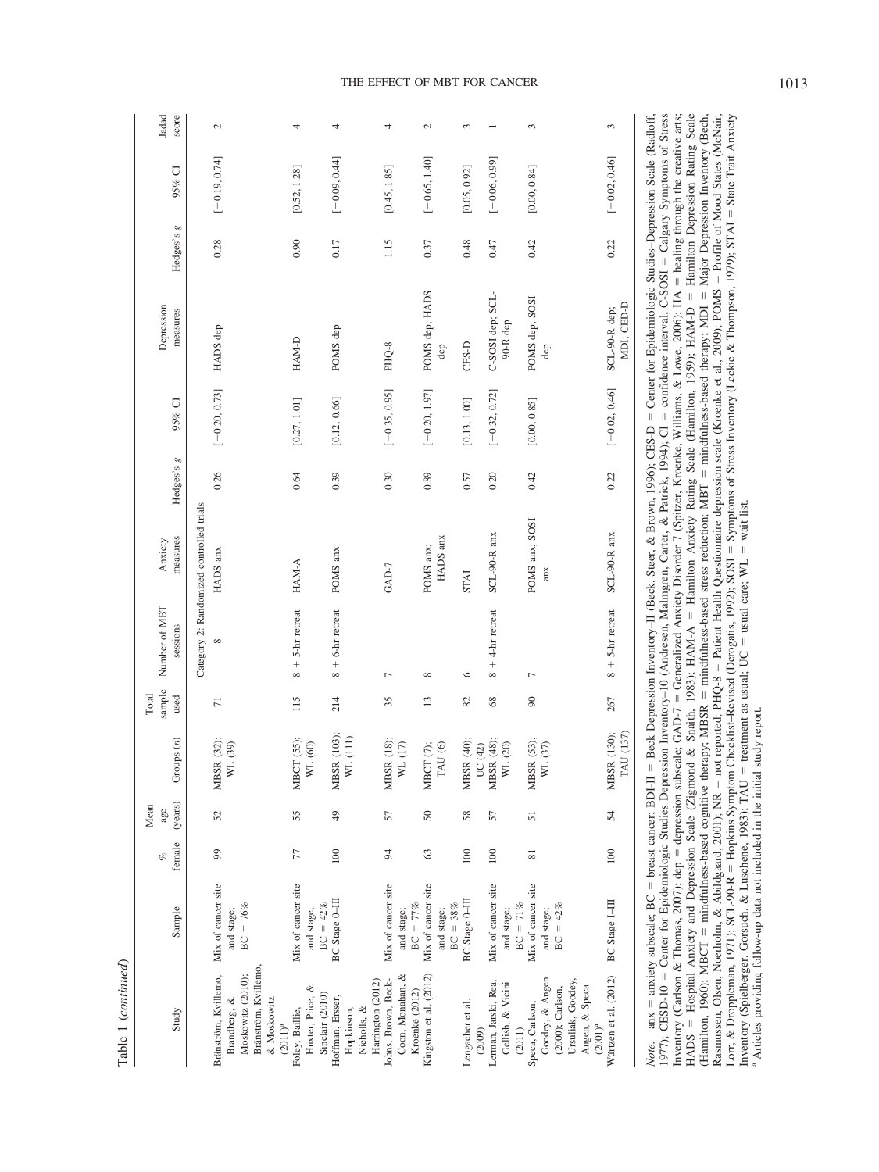| i,<br>i<br>٠<br>í |
|-------------------|
|                   |
|                   |

| 2<br>$[-0.19, 0.74]$      |                                          |                                                                                                                  | 4<br>[0.52, 1.28]                                      | 4<br>$[-0.09, 0.44]$                                               | 4<br>[0.45, 1.85]                                         | $\mathcal{L}$<br>$[-0.65, 1.40]$               | 3<br>[0.05, 0.92]          | $[-0.06, 0.99]$                                     | 3<br>[0.00, 0.84]                                                                                             | 3<br>$[-0.02, 0.46]$        | 1977); CESD-10 = Center for Epidemiologic Studies Depression Inventory-10 (Andresen, Malmgren, Carter, & Patrick, 1994); C1 = confidence interval; C-SOSI = Calgary Symptoms of Stress<br>= Beck Depression Inventory-II (Beck, Steer, & Brown, 1996); CES-D = Center for Epidemiologic Studies-Depression Scale (Radloff,<br>= Hamilton Depression Rating Scale<br>Inventory (Carlson & Thomas, 2007); dep = depression subscale; GAD-7 = Generalized Anxiety Disorder 7 (Spitzer, Kroenke, Williams, & Lowe, 2006); HA = healing through the creative arts;<br>HADS = Hospital Anxiety and Depression Scale (Zigmond & Snaith, 1983); HAM-A = Hamilton Anxiety Rating Scale (Hamilton, 1959); HAM-D = Hamilton Depression Rating Scale<br>(Hamilton, 1960); MBCT = mindfulness-based cognitive t |
|---------------------------|------------------------------------------|------------------------------------------------------------------------------------------------------------------|--------------------------------------------------------|--------------------------------------------------------------------|-----------------------------------------------------------|------------------------------------------------|----------------------------|-----------------------------------------------------|---------------------------------------------------------------------------------------------------------------|-----------------------------|----------------------------------------------------------------------------------------------------------------------------------------------------------------------------------------------------------------------------------------------------------------------------------------------------------------------------------------------------------------------------------------------------------------------------------------------------------------------------------------------------------------------------------------------------------------------------------------------------------------------------------------------------------------------------------------------------------------------------------------------------------------------------------------------------|
| Hedges's g                |                                          | 0.28                                                                                                             | 0.90                                                   | 0.17                                                               | 1.15                                                      | 0.37                                           | 0.48                       | 0.47                                                | 0.42                                                                                                          | 0.22                        |                                                                                                                                                                                                                                                                                                                                                                                                                                                                                                                                                                                                                                                                                                                                                                                                    |
| measures                  |                                          | HADS dep                                                                                                         | HAM-D                                                  | POMS dep                                                           | PHQ-8                                                     | POMS dep; HADS<br>dep                          | CES-D                      | C-SOSI dep; SCL-<br>90-R dep                        | POMS dep; SOSI<br>dep                                                                                         | MDI; CED-D<br>SCL-90-R dep; |                                                                                                                                                                                                                                                                                                                                                                                                                                                                                                                                                                                                                                                                                                                                                                                                    |
| 95% CI                    |                                          | $[-0.20, 0.73]$                                                                                                  | [0.27, 1.01]                                           | [0.12, 0.66]                                                       | $[-0.35, 0.95]$                                           | $[-0.20, 1.97]$                                | [0.13, 1.00]               | $[-0.32, 0.72]$                                     | [0.00, 0.85]                                                                                                  | $[-0.02, 0.46]$             |                                                                                                                                                                                                                                                                                                                                                                                                                                                                                                                                                                                                                                                                                                                                                                                                    |
| Hedges's g                |                                          | 0.26                                                                                                             | 0.64                                                   | 0.39                                                               | 0.30                                                      | 0.89                                           | 0.57                       | 0.20                                                | 0.42                                                                                                          | 0.22                        |                                                                                                                                                                                                                                                                                                                                                                                                                                                                                                                                                                                                                                                                                                                                                                                                    |
| measures<br>Anxiety       | Category 2: Randomized controlled trials | HADS anx                                                                                                         | HAM-A                                                  | POMS anx                                                           | GAD-7                                                     | HADS anx<br>POMS anx:                          | <b>STAI</b>                | SCL-90-R anx                                        | POMS anx; SOSI<br>anx                                                                                         | SCL-90-R anx                |                                                                                                                                                                                                                                                                                                                                                                                                                                                                                                                                                                                                                                                                                                                                                                                                    |
| Number of MBT<br>sessions |                                          | ${}^{\circ}$                                                                                                     | $8 + 5$ -hr retreat                                    | $8 + 6$ -hr retreat                                                | $\overline{ }$                                            | $\infty$                                       | $\circ$                    | $8 + 4$ -hr retreat                                 | $\overline{a}$                                                                                                | $8 + 5$ -hr retreat         |                                                                                                                                                                                                                                                                                                                                                                                                                                                                                                                                                                                                                                                                                                                                                                                                    |
| sample<br>used            |                                          | $\overline{7}$                                                                                                   | 115                                                    | 214                                                                | 35                                                        | $\mathbf{13}$                                  | $82\,$                     | 68                                                  | $\infty$                                                                                                      | 267                         |                                                                                                                                                                                                                                                                                                                                                                                                                                                                                                                                                                                                                                                                                                                                                                                                    |
| Groups $(n)$              |                                          | MBSR (32);<br>WL (39)                                                                                            | <b>MBCT</b> (55);<br>WL $(60)$                         | MBSR (103);<br><b>ML</b> (111)                                     | MBSR (18);<br>WL $(17)$                                   | [AU(6)<br>MBCT (7);                            | MBSR (40);<br>JC (42)      | MBSR (48);<br>$\mathbf{WL}$ (20)                    | MBSR (53);<br><b>NL</b> (37)                                                                                  | MBSR (130);<br>AU (137)     |                                                                                                                                                                                                                                                                                                                                                                                                                                                                                                                                                                                                                                                                                                                                                                                                    |
| (years)<br>age            |                                          | 52                                                                                                               | 55                                                     | 49                                                                 | 57                                                        | $50\,$                                         | 58                         | 57                                                  | $\overline{5}$                                                                                                | 54                          |                                                                                                                                                                                                                                                                                                                                                                                                                                                                                                                                                                                                                                                                                                                                                                                                    |
| female<br>of.             |                                          | $\mathfrak{g}$                                                                                                   | 77                                                     | 100                                                                | $\overline{6}$                                            | 63                                             | $100\,$                    | 100                                                 | $\overline{8}$                                                                                                | 100                         |                                                                                                                                                                                                                                                                                                                                                                                                                                                                                                                                                                                                                                                                                                                                                                                                    |
| Sample                    |                                          | Mix of cancer site<br>$BC = 76%$<br>and stage;                                                                   | Mix of cancer site<br>$BC = 42%$<br>and stage;         | BC Stage 0-III                                                     | Mix of cancer site<br>$BC = 77%$<br>and stage;            | Mix of cancer site<br>$BC = 38%$<br>and stage; | BC Stage 0-III             | Mix of cancer site<br>$BC = 71%$<br>and stage;      | Mix of cancer site<br>$BC = 42%$<br>and stage;                                                                | BC Stage I-III              | $anx = anxiety$ subscale; $BC = breat$ cancer; $BDI-II$                                                                                                                                                                                                                                                                                                                                                                                                                                                                                                                                                                                                                                                                                                                                            |
| Study                     |                                          | Bränström, Kvillemo,<br>Bränström, Kvillemo,<br>Moskowitz (2010);<br>& Moskowitz<br>Brandberg, &<br>$(2011)^{a}$ | Huxter, Price, &<br>Sinclair (2010)<br>Foley, Baillie, | Harrington (2012)<br>Hoffman, Ersser,<br>Nicholls, &<br>Hopkinson, | Coon, Monahan, &<br>Johns, Brown, Beck-<br>Kroenke (2012) | Kingston et al. (2012)                         | Lengacher et al.<br>(2009) | Lerman, Jarski, Rea,<br>Gellish, & Vicini<br>(2011) | Goodey, & Angen<br>Ursuliak, Goodey,<br>Angen, & Speca<br>(2000); Carlson,<br>Speca, Carlson,<br>$(2001)^{a}$ | Würtzen et al. (2012)       | Note.                                                                                                                                                                                                                                                                                                                                                                                                                                                                                                                                                                                                                                                                                                                                                                                              |

THE EFFECT OF MBT FOR CANCER 1013

Inventory (Carlson & Thomas, 2007); dep = depression subscale; GAD-7 = Generalized Anxiety Disorder 7 (Spitzer, Kroenke, Williams, & Lowe, 2006); HA = healing through the creative arts; HADS = Hospital Anxiety and Depression Scale (Zigmond & Snaith, 1983); HAM-A = Hamilton Anxiety Rating Scale (Hamilton, 1959); HAM-D = Hamilton Depression Rating Scale (Hamilton, 1960); MBCT = mindfulness-based cognitive therapy; MBSR = mindfulness-based stress reduction; MBT = mindfulness-based therapy; MDI = Major Depression Inventory (Bech, Rasmussen, Olsen, Noerholm, & Abildgaard, 2001); NR = not reported; PHQ-8 = Patient Health Questionnaire depression scale (Kroenke et al., 2009); POMS = Profile of Mood States (McNair, Lorr, & Droppleman, 1971); SCL-90-R = Hopkins Symptom Checklist–Revised (Derogatis, 1992); SOSI = Symptoms of Stress Inventory (Leckie & Thompson, 1979); STAI = State Trait Anxiety

Inventory (Spielberger, Gorsuch, & Luschene, 1983); TAU = treatment as usual; UC = usual care; WL = wait list.

Articles providing follow-up data not included in the initial study report.

Rasmussen, Olsen, Noerholm, & Abildgaard, 2001); NR = not reported; PHQ-8 = Patient Health Questionmaire depression scale (Kroenke et al., 2009); POMS = Profile of Mood States (McNair,<br>Lorr, & Droppleman, 1971); SCL-90-R =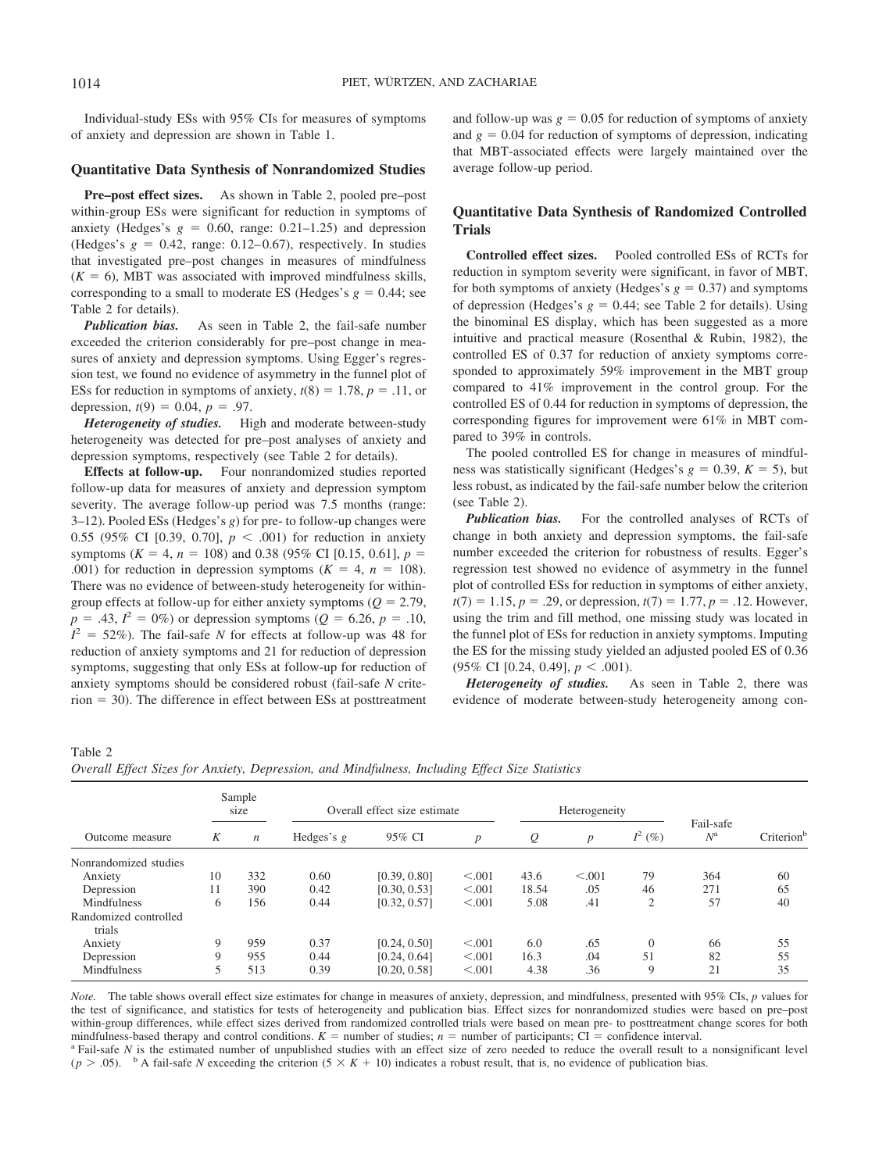Individual-study ESs with 95% CIs for measures of symptoms of anxiety and depression are shown in Table 1.

## **Quantitative Data Synthesis of Nonrandomized Studies**

**Pre–post effect sizes.** As shown in Table 2, pooled pre–post within-group ESs were significant for reduction in symptoms of anxiety (Hedges's  $g = 0.60$ , range: 0.21–1.25) and depression (Hedges's  $g = 0.42$ , range: 0.12–0.67), respectively. In studies that investigated pre–post changes in measures of mindfulness  $(K = 6)$ , MBT was associated with improved mindfulness skills, corresponding to a small to moderate ES (Hedges's  $g = 0.44$ ; see Table 2 for details).

*Publication bias.* As seen in Table 2, the fail-safe number exceeded the criterion considerably for pre–post change in measures of anxiety and depression symptoms. Using Egger's regression test, we found no evidence of asymmetry in the funnel plot of ESs for reduction in symptoms of anxiety,  $t(8) = 1.78$ ,  $p = .11$ , or depression,  $t(9) = 0.04$ ,  $p = .97$ .

*Heterogeneity of studies.* High and moderate between-study heterogeneity was detected for pre–post analyses of anxiety and depression symptoms, respectively (see Table 2 for details).

**Effects at follow-up.** Four nonrandomized studies reported follow-up data for measures of anxiety and depression symptom severity. The average follow-up period was 7.5 months (range: 3–12). Pooled ESs (Hedges's *g*) for pre- to follow-up changes were 0.55 (95% CI [0.39, 0.70],  $p < .001$ ) for reduction in anxiety symptoms ( $K = 4$ ,  $n = 108$ ) and 0.38 (95% CI [0.15, 0.61],  $p =$ .001) for reduction in depression symptoms  $(K = 4, n = 108)$ . There was no evidence of between-study heterogeneity for withingroup effects at follow-up for either anxiety symptoms ( $Q = 2.79$ ,  $p = .43$ ,  $I^2 = 0\%$ ) or depression symptoms ( $Q = 6.26$ ,  $p = .10$ ,  $I^2 = 52\%)$ . The fail-safe *N* for effects at follow-up was 48 for reduction of anxiety symptoms and 21 for reduction of depression symptoms, suggesting that only ESs at follow-up for reduction of anxiety symptoms should be considered robust (fail-safe *N* crite $rion = 30$ ). The difference in effect between ESs at posttreatment and follow-up was  $g = 0.05$  for reduction of symptoms of anxiety and  $g = 0.04$  for reduction of symptoms of depression, indicating that MBT-associated effects were largely maintained over the average follow-up period.

# **Quantitative Data Synthesis of Randomized Controlled Trials**

**Controlled effect sizes.** Pooled controlled ESs of RCTs for reduction in symptom severity were significant, in favor of MBT, for both symptoms of anxiety (Hedges's  $g = 0.37$ ) and symptoms of depression (Hedges's  $g = 0.44$ ; see Table 2 for details). Using the binominal ES display, which has been suggested as a more intuitive and practical measure (Rosenthal & Rubin, 1982), the controlled ES of 0.37 for reduction of anxiety symptoms corresponded to approximately 59% improvement in the MBT group compared to 41% improvement in the control group. For the controlled ES of 0.44 for reduction in symptoms of depression, the corresponding figures for improvement were 61% in MBT compared to 39% in controls.

The pooled controlled ES for change in measures of mindfulness was statistically significant (Hedges's  $g = 0.39$ ,  $K = 5$ ), but less robust, as indicated by the fail-safe number below the criterion (see Table 2).

*Publication bias.* For the controlled analyses of RCTs of change in both anxiety and depression symptoms, the fail-safe number exceeded the criterion for robustness of results. Egger's regression test showed no evidence of asymmetry in the funnel plot of controlled ESs for reduction in symptoms of either anxiety,  $t(7) = 1.15$ ,  $p = .29$ , or depression,  $t(7) = 1.77$ ,  $p = .12$ . However, using the trim and fill method, one missing study was located in the funnel plot of ESs for reduction in anxiety symptoms. Imputing the ES for the missing study yielded an adjusted pooled ES of 0.36  $(95\% \text{ CI} [0.24, 0.49], p < .001).$ 

*Heterogeneity of studies.* As seen in Table 2, there was evidence of moderate between-study heterogeneity among con-

Table 2

*Overall Effect Sizes for Anxiety, Depression, and Mindfulness, Including Effect Size Statistics*

|                                 | Sample<br>size |                  | Overall effect size estimate | Heterogeneity |                  |           |                  |                |                          |                        |
|---------------------------------|----------------|------------------|------------------------------|---------------|------------------|-----------|------------------|----------------|--------------------------|------------------------|
| Outcome measure                 | Κ              | $\boldsymbol{n}$ | Hedges's $g$                 | 95% CI        | $\boldsymbol{p}$ | $\varrho$ | $\boldsymbol{p}$ | $I^2$ (%)      | Fail-safe<br>$N^{\rm a}$ | Criterion <sup>b</sup> |
| Nonrandomized studies           |                |                  |                              |               |                  |           |                  |                |                          |                        |
| Anxiety                         | 10             | 332              | 0.60                         | [0.39, 0.80]  | < 0.001          | 43.6      | < 0.001          | 79             | 364                      | 60                     |
| Depression                      | 11             | 390              | 0.42                         | [0.30, 0.53]  | < 0.001          | 18.54     | .05              | 46             | 271                      | 65                     |
| <b>Mindfulness</b>              | 6              | 156              | 0.44                         | [0.32, 0.57]  | < 0.001          | 5.08      | .41              | $\overline{2}$ | 57                       | 40                     |
| Randomized controlled<br>trials |                |                  |                              |               |                  |           |                  |                |                          |                        |
| Anxiety                         | 9              | 959              | 0.37                         | [0.24, 0.50]  | < 0.001          | 6.0       | .65              |                | 66                       | 55                     |
| Depression                      | 9              | 955              | 0.44                         | [0.24, 0.64]  | < 0.001          | 16.3      | .04              | 51             | 82                       | 55                     |
| Mindfulness                     |                | 513              | 0.39                         | [0.20, 0.58]  | < 0.001          | 4.38      | .36              | 9              | 21                       | 35                     |

*Note.* The table shows overall effect size estimates for change in measures of anxiety, depression, and mindfulness, presented with 95% CIs, *p* values for the test of significance, and statistics for tests of heterogeneity and publication bias. Effect sizes for nonrandomized studies were based on pre–post within-group differences, while effect sizes derived from randomized controlled trials were based on mean pre- to posttreatment change scores for both mindfulness-based therapy and control conditions.  $K =$  number of studies;  $n =$  number of participants; CI = confidence interval.<br><sup>a</sup> Fail-safe N is the estimated number of unpublished studies with an effect size of zero n

 $(p > .05)$ . <sup>b</sup> A fail-safe *N* exceeding the criterion  $(5 \times K + 10)$  indicates a robust result, that is, no evidence of publication bias.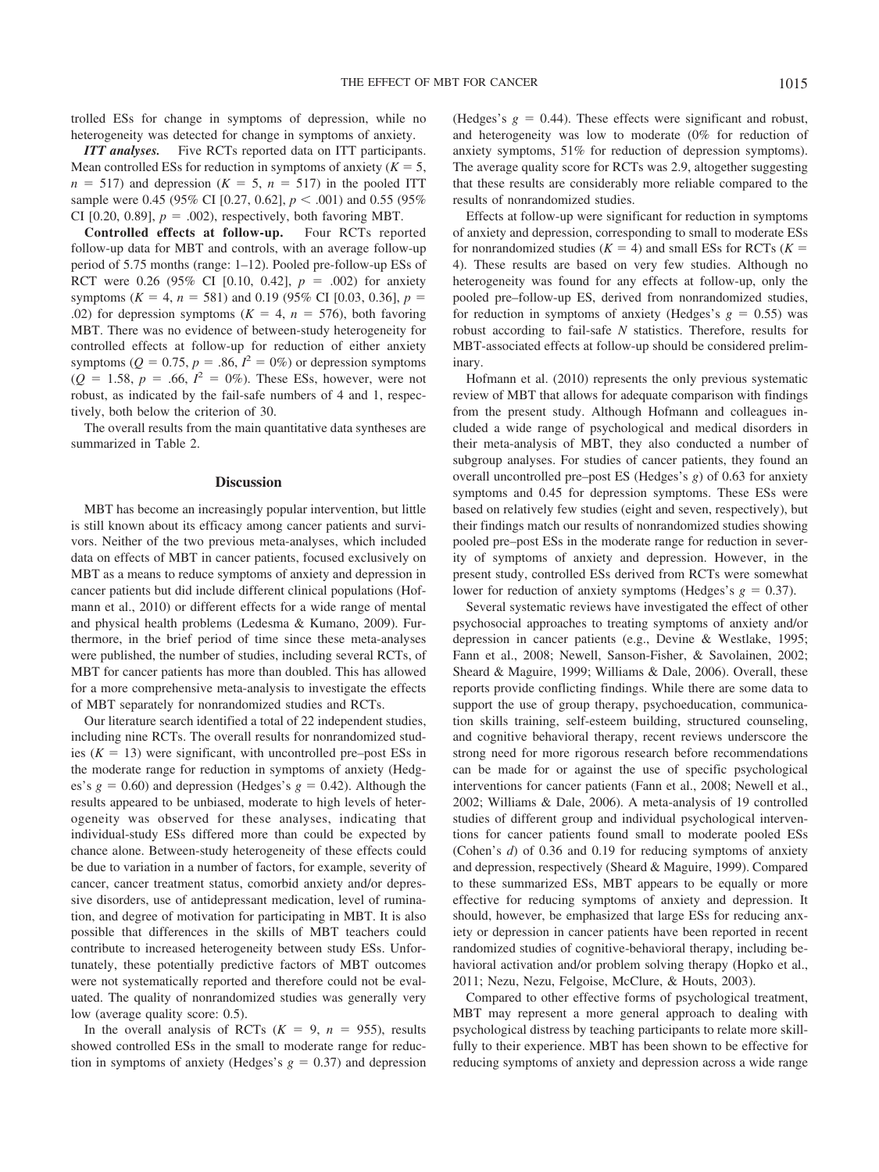trolled ESs for change in symptoms of depression, while no heterogeneity was detected for change in symptoms of anxiety.

*ITT analyses.* Five RCTs reported data on ITT participants. Mean controlled ESs for reduction in symptoms of anxiety  $(K = 5)$ ,  $n = 517$ ) and depression ( $K = 5$ ,  $n = 517$ ) in the pooled ITT sample were 0.45 (95% CI [0.27, 0.62],  $p < .001$ ) and 0.55 (95%) CI [0.20, 0.89],  $p = .002$ ), respectively, both favoring MBT.

**Controlled effects at follow-up.** Four RCTs reported follow-up data for MBT and controls, with an average follow-up period of 5.75 months (range: 1–12). Pooled pre-follow-up ESs of RCT were 0.26 (95% CI [0.10, 0.42],  $p = .002$ ) for anxiety symptoms ( $K = 4$ ,  $n = 581$ ) and 0.19 (95% CI [0.03, 0.36],  $p =$ .02) for depression symptoms  $(K = 4, n = 576)$ , both favoring MBT. There was no evidence of between-study heterogeneity for controlled effects at follow-up for reduction of either anxiety symptoms ( $Q = 0.75$ ,  $p = .86$ ,  $I^2 = 0\%$ ) or depression symptoms  $(Q = 1.58, p = .66, I^2 = 0\%)$ . These ESs, however, were not robust, as indicated by the fail-safe numbers of 4 and 1, respectively, both below the criterion of 30.

The overall results from the main quantitative data syntheses are summarized in Table 2.

#### **Discussion**

MBT has become an increasingly popular intervention, but little is still known about its efficacy among cancer patients and survivors. Neither of the two previous meta-analyses, which included data on effects of MBT in cancer patients, focused exclusively on MBT as a means to reduce symptoms of anxiety and depression in cancer patients but did include different clinical populations (Hofmann et al., 2010) or different effects for a wide range of mental and physical health problems (Ledesma & Kumano, 2009). Furthermore, in the brief period of time since these meta-analyses were published, the number of studies, including several RCTs, of MBT for cancer patients has more than doubled. This has allowed for a more comprehensive meta-analysis to investigate the effects of MBT separately for nonrandomized studies and RCTs.

Our literature search identified a total of 22 independent studies, including nine RCTs. The overall results for nonrandomized studies  $(K = 13)$  were significant, with uncontrolled pre–post ESs in the moderate range for reduction in symptoms of anxiety (Hedges's  $g = 0.60$ ) and depression (Hedges's  $g = 0.42$ ). Although the results appeared to be unbiased, moderate to high levels of heterogeneity was observed for these analyses, indicating that individual-study ESs differed more than could be expected by chance alone. Between-study heterogeneity of these effects could be due to variation in a number of factors, for example, severity of cancer, cancer treatment status, comorbid anxiety and/or depressive disorders, use of antidepressant medication, level of rumination, and degree of motivation for participating in MBT. It is also possible that differences in the skills of MBT teachers could contribute to increased heterogeneity between study ESs. Unfortunately, these potentially predictive factors of MBT outcomes were not systematically reported and therefore could not be evaluated. The quality of nonrandomized studies was generally very low (average quality score: 0.5).

In the overall analysis of RCTs  $(K = 9, n = 955)$ , results showed controlled ESs in the small to moderate range for reduction in symptoms of anxiety (Hedges's  $g = 0.37$ ) and depression (Hedges's  $g = 0.44$ ). These effects were significant and robust, and heterogeneity was low to moderate (0% for reduction of anxiety symptoms, 51% for reduction of depression symptoms). The average quality score for RCTs was 2.9, altogether suggesting that these results are considerably more reliable compared to the results of nonrandomized studies.

Effects at follow-up were significant for reduction in symptoms of anxiety and depression, corresponding to small to moderate ESs for nonrandomized studies  $(K = 4)$  and small ESs for RCTs  $(K = 1)$ 4). These results are based on very few studies. Although no heterogeneity was found for any effects at follow-up, only the pooled pre–follow-up ES, derived from nonrandomized studies, for reduction in symptoms of anxiety (Hedges's  $g = 0.55$ ) was robust according to fail-safe *N* statistics. Therefore, results for MBT-associated effects at follow-up should be considered preliminary.

Hofmann et al. (2010) represents the only previous systematic review of MBT that allows for adequate comparison with findings from the present study. Although Hofmann and colleagues included a wide range of psychological and medical disorders in their meta-analysis of MBT, they also conducted a number of subgroup analyses. For studies of cancer patients, they found an overall uncontrolled pre–post ES (Hedges's *g*) of 0.63 for anxiety symptoms and 0.45 for depression symptoms. These ESs were based on relatively few studies (eight and seven, respectively), but their findings match our results of nonrandomized studies showing pooled pre–post ESs in the moderate range for reduction in severity of symptoms of anxiety and depression. However, in the present study, controlled ESs derived from RCTs were somewhat lower for reduction of anxiety symptoms (Hedges's  $g = 0.37$ ).

Several systematic reviews have investigated the effect of other psychosocial approaches to treating symptoms of anxiety and/or depression in cancer patients (e.g., Devine & Westlake, 1995; Fann et al., 2008; Newell, Sanson-Fisher, & Savolainen, 2002; Sheard & Maguire, 1999; Williams & Dale, 2006). Overall, these reports provide conflicting findings. While there are some data to support the use of group therapy, psychoeducation, communication skills training, self-esteem building, structured counseling, and cognitive behavioral therapy, recent reviews underscore the strong need for more rigorous research before recommendations can be made for or against the use of specific psychological interventions for cancer patients (Fann et al., 2008; Newell et al., 2002; Williams & Dale, 2006). A meta-analysis of 19 controlled studies of different group and individual psychological interventions for cancer patients found small to moderate pooled ESs (Cohen's *d*) of 0.36 and 0.19 for reducing symptoms of anxiety and depression, respectively (Sheard & Maguire, 1999). Compared to these summarized ESs, MBT appears to be equally or more effective for reducing symptoms of anxiety and depression. It should, however, be emphasized that large ESs for reducing anxiety or depression in cancer patients have been reported in recent randomized studies of cognitive-behavioral therapy, including behavioral activation and/or problem solving therapy (Hopko et al., 2011; Nezu, Nezu, Felgoise, McClure, & Houts, 2003).

Compared to other effective forms of psychological treatment, MBT may represent a more general approach to dealing with psychological distress by teaching participants to relate more skillfully to their experience. MBT has been shown to be effective for reducing symptoms of anxiety and depression across a wide range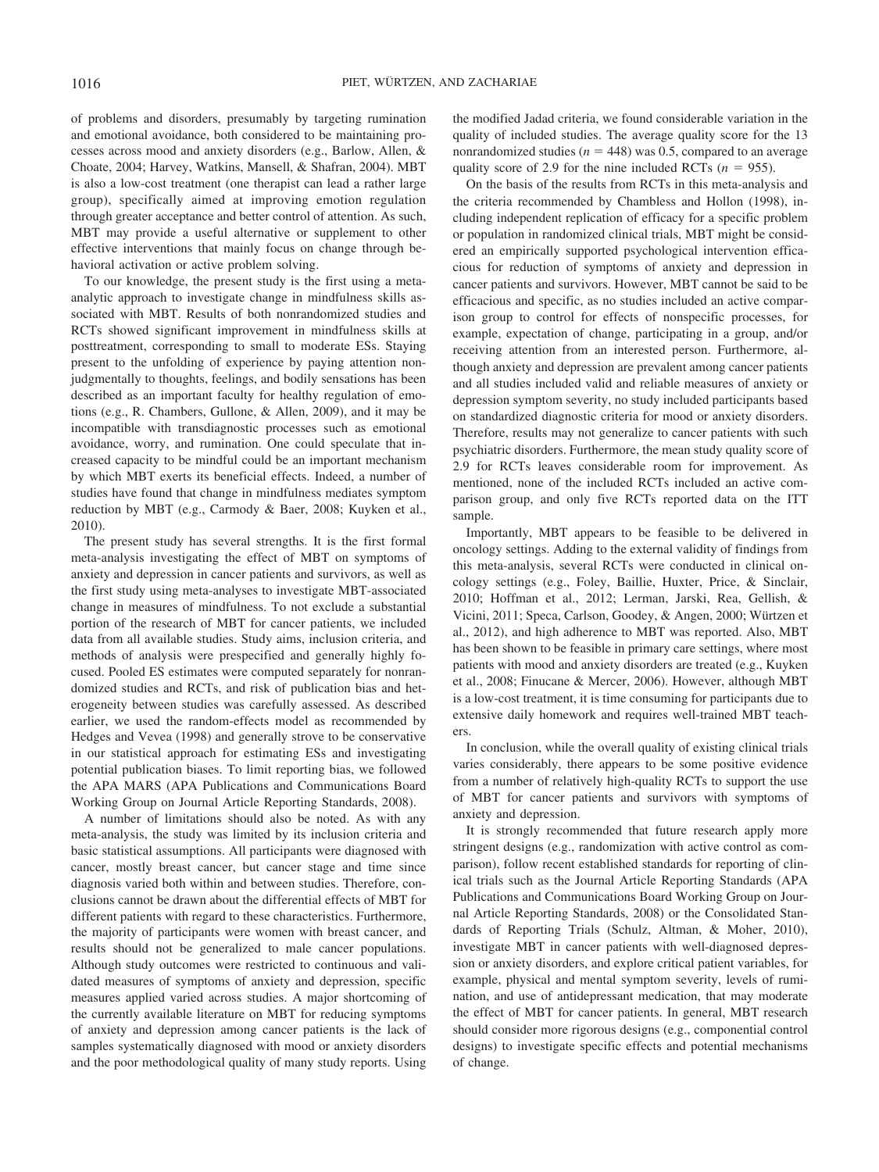of problems and disorders, presumably by targeting rumination and emotional avoidance, both considered to be maintaining processes across mood and anxiety disorders (e.g., Barlow, Allen, & Choate, 2004; Harvey, Watkins, Mansell, & Shafran, 2004). MBT is also a low-cost treatment (one therapist can lead a rather large group), specifically aimed at improving emotion regulation through greater acceptance and better control of attention. As such, MBT may provide a useful alternative or supplement to other effective interventions that mainly focus on change through behavioral activation or active problem solving.

To our knowledge, the present study is the first using a metaanalytic approach to investigate change in mindfulness skills associated with MBT. Results of both nonrandomized studies and RCTs showed significant improvement in mindfulness skills at posttreatment, corresponding to small to moderate ESs. Staying present to the unfolding of experience by paying attention nonjudgmentally to thoughts, feelings, and bodily sensations has been described as an important faculty for healthy regulation of emotions (e.g., R. Chambers, Gullone, & Allen, 2009), and it may be incompatible with transdiagnostic processes such as emotional avoidance, worry, and rumination. One could speculate that increased capacity to be mindful could be an important mechanism by which MBT exerts its beneficial effects. Indeed, a number of studies have found that change in mindfulness mediates symptom reduction by MBT (e.g., Carmody & Baer, 2008; Kuyken et al., 2010).

The present study has several strengths. It is the first formal meta-analysis investigating the effect of MBT on symptoms of anxiety and depression in cancer patients and survivors, as well as the first study using meta-analyses to investigate MBT-associated change in measures of mindfulness. To not exclude a substantial portion of the research of MBT for cancer patients, we included data from all available studies. Study aims, inclusion criteria, and methods of analysis were prespecified and generally highly focused. Pooled ES estimates were computed separately for nonrandomized studies and RCTs, and risk of publication bias and heterogeneity between studies was carefully assessed. As described earlier, we used the random-effects model as recommended by Hedges and Vevea (1998) and generally strove to be conservative in our statistical approach for estimating ESs and investigating potential publication biases. To limit reporting bias, we followed the APA MARS (APA Publications and Communications Board Working Group on Journal Article Reporting Standards, 2008).

A number of limitations should also be noted. As with any meta-analysis, the study was limited by its inclusion criteria and basic statistical assumptions. All participants were diagnosed with cancer, mostly breast cancer, but cancer stage and time since diagnosis varied both within and between studies. Therefore, conclusions cannot be drawn about the differential effects of MBT for different patients with regard to these characteristics. Furthermore, the majority of participants were women with breast cancer, and results should not be generalized to male cancer populations. Although study outcomes were restricted to continuous and validated measures of symptoms of anxiety and depression, specific measures applied varied across studies. A major shortcoming of the currently available literature on MBT for reducing symptoms of anxiety and depression among cancer patients is the lack of samples systematically diagnosed with mood or anxiety disorders and the poor methodological quality of many study reports. Using the modified Jadad criteria, we found considerable variation in the quality of included studies. The average quality score for the 13 nonrandomized studies ( $n = 448$ ) was 0.5, compared to an average quality score of 2.9 for the nine included RCTs  $(n = 955)$ .

On the basis of the results from RCTs in this meta-analysis and the criteria recommended by Chambless and Hollon (1998), including independent replication of efficacy for a specific problem or population in randomized clinical trials, MBT might be considered an empirically supported psychological intervention efficacious for reduction of symptoms of anxiety and depression in cancer patients and survivors. However, MBT cannot be said to be efficacious and specific, as no studies included an active comparison group to control for effects of nonspecific processes, for example, expectation of change, participating in a group, and/or receiving attention from an interested person. Furthermore, although anxiety and depression are prevalent among cancer patients and all studies included valid and reliable measures of anxiety or depression symptom severity, no study included participants based on standardized diagnostic criteria for mood or anxiety disorders. Therefore, results may not generalize to cancer patients with such psychiatric disorders. Furthermore, the mean study quality score of 2.9 for RCTs leaves considerable room for improvement. As mentioned, none of the included RCTs included an active comparison group, and only five RCTs reported data on the ITT sample.

Importantly, MBT appears to be feasible to be delivered in oncology settings. Adding to the external validity of findings from this meta-analysis, several RCTs were conducted in clinical oncology settings (e.g., Foley, Baillie, Huxter, Price, & Sinclair, 2010; Hoffman et al., 2012; Lerman, Jarski, Rea, Gellish, & Vicini, 2011; Speca, Carlson, Goodey, & Angen, 2000; Würtzen et al., 2012), and high adherence to MBT was reported. Also, MBT has been shown to be feasible in primary care settings, where most patients with mood and anxiety disorders are treated (e.g., Kuyken et al., 2008; Finucane & Mercer, 2006). However, although MBT is a low-cost treatment, it is time consuming for participants due to extensive daily homework and requires well-trained MBT teachers.

In conclusion, while the overall quality of existing clinical trials varies considerably, there appears to be some positive evidence from a number of relatively high-quality RCTs to support the use of MBT for cancer patients and survivors with symptoms of anxiety and depression.

It is strongly recommended that future research apply more stringent designs (e.g., randomization with active control as comparison), follow recent established standards for reporting of clinical trials such as the Journal Article Reporting Standards (APA Publications and Communications Board Working Group on Journal Article Reporting Standards, 2008) or the Consolidated Standards of Reporting Trials (Schulz, Altman, & Moher, 2010), investigate MBT in cancer patients with well-diagnosed depression or anxiety disorders, and explore critical patient variables, for example, physical and mental symptom severity, levels of rumination, and use of antidepressant medication, that may moderate the effect of MBT for cancer patients. In general, MBT research should consider more rigorous designs (e.g., componential control designs) to investigate specific effects and potential mechanisms of change.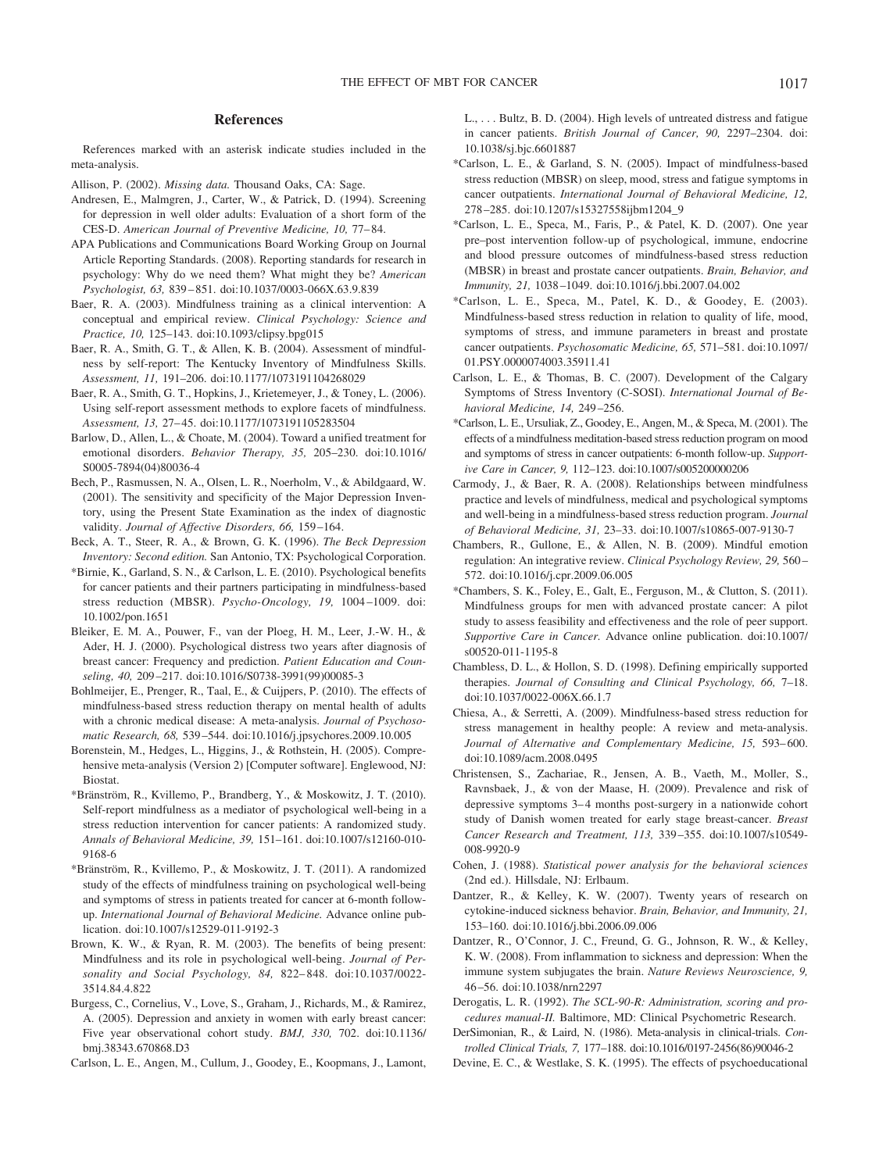## **References**

References marked with an asterisk indicate studies included in the meta-analysis.

- Allison, P. (2002). *Missing data.* Thousand Oaks, CA: Sage.
- Andresen, E., Malmgren, J., Carter, W., & Patrick, D. (1994). Screening for depression in well older adults: Evaluation of a short form of the CES-D. *American Journal of Preventive Medicine, 10,* 77– 84.
- APA Publications and Communications Board Working Group on Journal Article Reporting Standards. (2008). Reporting standards for research in psychology: Why do we need them? What might they be? *American Psychologist, 63,* 839 – 851. doi:10.1037/0003-066X.63.9.839
- Baer, R. A. (2003). Mindfulness training as a clinical intervention: A conceptual and empirical review. *Clinical Psychology: Science and Practice, 10,* 125–143. doi:10.1093/clipsy.bpg015
- Baer, R. A., Smith, G. T., & Allen, K. B. (2004). Assessment of mindfulness by self-report: The Kentucky Inventory of Mindfulness Skills. *Assessment, 11,* 191–206. doi:10.1177/1073191104268029
- Baer, R. A., Smith, G. T., Hopkins, J., Krietemeyer, J., & Toney, L. (2006). Using self-report assessment methods to explore facets of mindfulness. *Assessment, 13,* 27– 45. doi:10.1177/1073191105283504
- Barlow, D., Allen, L., & Choate, M. (2004). Toward a unified treatment for emotional disorders. *Behavior Therapy, 35,* 205–230. doi:10.1016/ S0005-7894(04)80036-4
- Bech, P., Rasmussen, N. A., Olsen, L. R., Noerholm, V., & Abildgaard, W. (2001). The sensitivity and specificity of the Major Depression Inventory, using the Present State Examination as the index of diagnostic validity. *Journal of Affective Disorders, 66,* 159 –164.
- Beck, A. T., Steer, R. A., & Brown, G. K. (1996). *The Beck Depression Inventory: Second edition.* San Antonio, TX: Psychological Corporation.
- \*Birnie, K., Garland, S. N., & Carlson, L. E. (2010). Psychological benefits for cancer patients and their partners participating in mindfulness-based stress reduction (MBSR). *Psycho-Oncology, 19,* 1004 –1009. doi: 10.1002/pon.1651
- Bleiker, E. M. A., Pouwer, F., van der Ploeg, H. M., Leer, J.-W. H., & Ader, H. J. (2000). Psychological distress two years after diagnosis of breast cancer: Frequency and prediction. *Patient Education and Counseling, 40,* 209 –217. doi:10.1016/S0738-3991(99)00085-3
- Bohlmeijer, E., Prenger, R., Taal, E., & Cuijpers, P. (2010). The effects of mindfulness-based stress reduction therapy on mental health of adults with a chronic medical disease: A meta-analysis. *Journal of Psychosomatic Research, 68,* 539 –544. doi:10.1016/j.jpsychores.2009.10.005
- Borenstein, M., Hedges, L., Higgins, J., & Rothstein, H. (2005). Comprehensive meta-analysis (Version 2) [Computer software]. Englewood, NJ: Biostat.
- \*Bra¨nström, R., Kvillemo, P., Brandberg, Y., & Moskowitz, J. T. (2010). Self-report mindfulness as a mediator of psychological well-being in a stress reduction intervention for cancer patients: A randomized study. *Annals of Behavioral Medicine, 39,* 151–161. doi:10.1007/s12160-010- 9168-6
- \*Bra¨nström, R., Kvillemo, P., & Moskowitz, J. T. (2011). A randomized study of the effects of mindfulness training on psychological well-being and symptoms of stress in patients treated for cancer at 6-month followup. *International Journal of Behavioral Medicine.* Advance online publication. doi:10.1007/s12529-011-9192-3
- Brown, K. W., & Ryan, R. M. (2003). The benefits of being present: Mindfulness and its role in psychological well-being. *Journal of Personality and Social Psychology, 84,* 822– 848. doi:10.1037/0022- 3514.84.4.822
- Burgess, C., Cornelius, V., Love, S., Graham, J., Richards, M., & Ramirez, A. (2005). Depression and anxiety in women with early breast cancer: Five year observational cohort study. *BMJ, 330,* 702. doi:10.1136/ bmj.38343.670868.D3
- Carlson, L. E., Angen, M., Cullum, J., Goodey, E., Koopmans, J., Lamont,

L., . . . Bultz, B. D. (2004). High levels of untreated distress and fatigue in cancer patients. *British Journal of Cancer, 90,* 2297–2304. doi: 10.1038/sj.bjc.6601887

- \*Carlson, L. E., & Garland, S. N. (2005). Impact of mindfulness-based stress reduction (MBSR) on sleep, mood, stress and fatigue symptoms in cancer outpatients. *International Journal of Behavioral Medicine, 12,* 278 –285. doi:10.1207/s15327558ijbm1204\_9
- \*Carlson, L. E., Speca, M., Faris, P., & Patel, K. D. (2007). One year pre–post intervention follow-up of psychological, immune, endocrine and blood pressure outcomes of mindfulness-based stress reduction (MBSR) in breast and prostate cancer outpatients. *Brain, Behavior, and Immunity, 21,* 1038 –1049. doi:10.1016/j.bbi.2007.04.002
- \*Carlson, L. E., Speca, M., Patel, K. D., & Goodey, E. (2003). Mindfulness-based stress reduction in relation to quality of life, mood, symptoms of stress, and immune parameters in breast and prostate cancer outpatients. *Psychosomatic Medicine, 65,* 571–581. doi:10.1097/ 01.PSY.0000074003.35911.41
- Carlson, L. E., & Thomas, B. C. (2007). Development of the Calgary Symptoms of Stress Inventory (C-SOSI). *International Journal of Behavioral Medicine, 14,* 249 –256.
- \*Carlson, L. E., Ursuliak, Z., Goodey, E., Angen, M., & Speca, M. (2001). The effects of a mindfulness meditation-based stress reduction program on mood and symptoms of stress in cancer outpatients: 6-month follow-up. *Supportive Care in Cancer, 9,* 112–123. doi:10.1007/s005200000206
- Carmody, J., & Baer, R. A. (2008). Relationships between mindfulness practice and levels of mindfulness, medical and psychological symptoms and well-being in a mindfulness-based stress reduction program. *Journal of Behavioral Medicine, 31,* 23–33. doi:10.1007/s10865-007-9130-7
- Chambers, R., Gullone, E., & Allen, N. B. (2009). Mindful emotion regulation: An integrative review. *Clinical Psychology Review, 29,* 560 – 572. doi:10.1016/j.cpr.2009.06.005
- \*Chambers, S. K., Foley, E., Galt, E., Ferguson, M., & Clutton, S. (2011). Mindfulness groups for men with advanced prostate cancer: A pilot study to assess feasibility and effectiveness and the role of peer support. *Supportive Care in Cancer.* Advance online publication. doi:10.1007/ s00520-011-1195-8
- Chambless, D. L., & Hollon, S. D. (1998). Defining empirically supported therapies. *Journal of Consulting and Clinical Psychology, 66,* 7–18. doi:10.1037/0022-006X.66.1.7
- Chiesa, A., & Serretti, A. (2009). Mindfulness-based stress reduction for stress management in healthy people: A review and meta-analysis. *Journal of Alternative and Complementary Medicine, 15,* 593– 600. doi:10.1089/acm.2008.0495
- Christensen, S., Zachariae, R., Jensen, A. B., Vaeth, M., Moller, S., Ravnsbaek, J., & von der Maase, H. (2009). Prevalence and risk of depressive symptoms 3-4 months post-surgery in a nationwide cohort study of Danish women treated for early stage breast-cancer. *Breast Cancer Research and Treatment, 113,* 339 –355. doi:10.1007/s10549- 008-9920-9
- Cohen, J. (1988). *Statistical power analysis for the behavioral sciences* (2nd ed.). Hillsdale, NJ: Erlbaum.
- Dantzer, R., & Kelley, K. W. (2007). Twenty years of research on cytokine-induced sickness behavior. *Brain, Behavior, and Immunity, 21,* 153–160. doi:10.1016/j.bbi.2006.09.006
- Dantzer, R., O'Connor, J. C., Freund, G. G., Johnson, R. W., & Kelley, K. W. (2008). From inflammation to sickness and depression: When the immune system subjugates the brain. *Nature Reviews Neuroscience, 9,* 46 –56. doi:10.1038/nrn2297
- Derogatis, L. R. (1992). *The SCL-90-R: Administration, scoring and procedures manual-II.* Baltimore, MD: Clinical Psychometric Research.
- DerSimonian, R., & Laird, N. (1986). Meta-analysis in clinical-trials. *Controlled Clinical Trials, 7,* 177–188. doi:10.1016/0197-2456(86)90046-2
- Devine, E. C., & Westlake, S. K. (1995). The effects of psychoeducational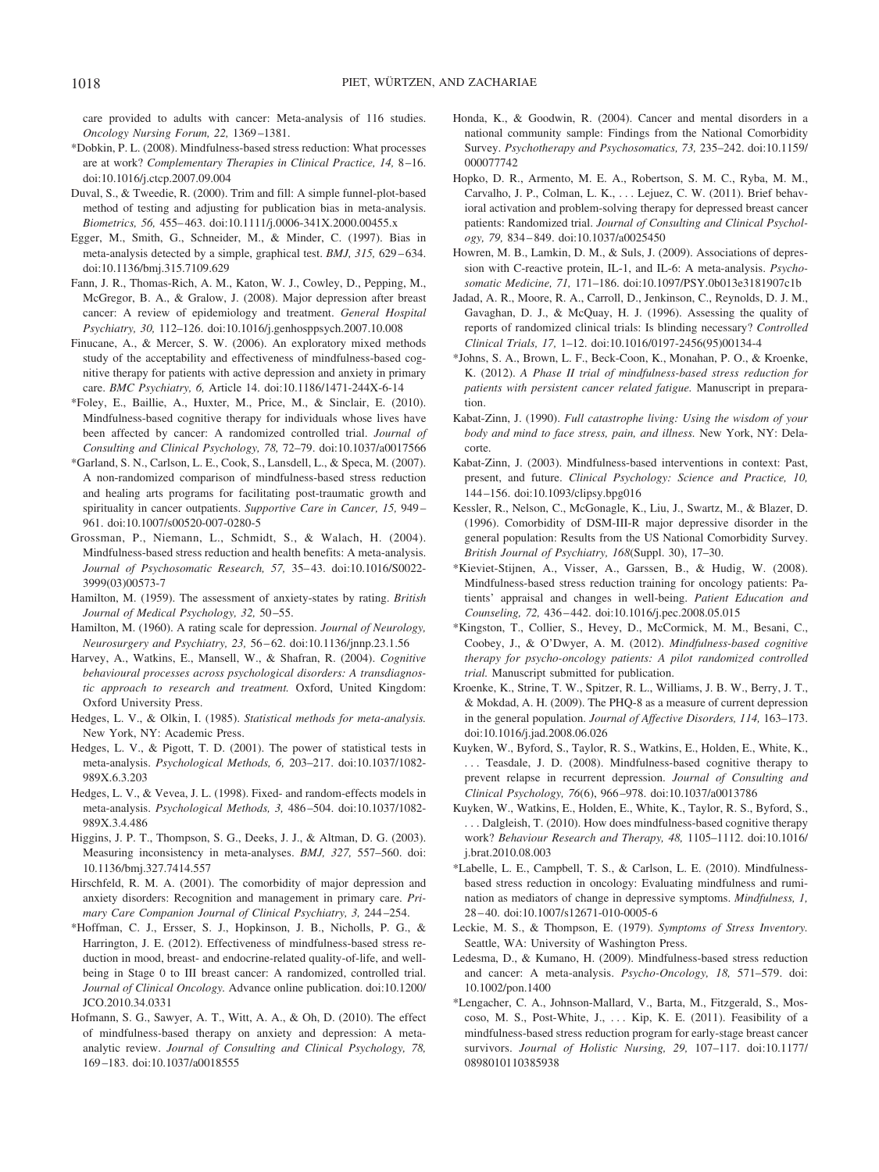care provided to adults with cancer: Meta-analysis of 116 studies. *Oncology Nursing Forum, 22,* 1369 –1381.

- \*Dobkin, P. L. (2008). Mindfulness-based stress reduction: What processes are at work? *Complementary Therapies in Clinical Practice, 14,* 8 –16. doi:10.1016/j.ctcp.2007.09.004
- Duval, S., & Tweedie, R. (2000). Trim and fill: A simple funnel-plot-based method of testing and adjusting for publication bias in meta-analysis. *Biometrics, 56,* 455– 463. doi:10.1111/j.0006-341X.2000.00455.x
- Egger, M., Smith, G., Schneider, M., & Minder, C. (1997). Bias in meta-analysis detected by a simple, graphical test. *BMJ, 315,* 629 – 634. doi:10.1136/bmj.315.7109.629
- Fann, J. R., Thomas-Rich, A. M., Katon, W. J., Cowley, D., Pepping, M., McGregor, B. A., & Gralow, J. (2008). Major depression after breast cancer: A review of epidemiology and treatment. *General Hospital Psychiatry, 30,* 112–126. doi:10.1016/j.genhosppsych.2007.10.008
- Finucane, A., & Mercer, S. W. (2006). An exploratory mixed methods study of the acceptability and effectiveness of mindfulness-based cognitive therapy for patients with active depression and anxiety in primary care. *BMC Psychiatry, 6,* Article 14. doi:10.1186/1471-244X-6-14
- \*Foley, E., Baillie, A., Huxter, M., Price, M., & Sinclair, E. (2010). Mindfulness-based cognitive therapy for individuals whose lives have been affected by cancer: A randomized controlled trial. *Journal of Consulting and Clinical Psychology, 78,* 72–79. doi:10.1037/a0017566
- \*Garland, S. N., Carlson, L. E., Cook, S., Lansdell, L., & Speca, M. (2007). A non-randomized comparison of mindfulness-based stress reduction and healing arts programs for facilitating post-traumatic growth and spirituality in cancer outpatients. *Supportive Care in Cancer, 15,* 949 – 961. doi:10.1007/s00520-007-0280-5
- Grossman, P., Niemann, L., Schmidt, S., & Walach, H. (2004). Mindfulness-based stress reduction and health benefits: A meta-analysis. *Journal of Psychosomatic Research, 57,* 35– 43. doi:10.1016/S0022- 3999(03)00573-7
- Hamilton, M. (1959). The assessment of anxiety-states by rating. *British Journal of Medical Psychology, 32,* 50 –55.
- Hamilton, M. (1960). A rating scale for depression. *Journal of Neurology, Neurosurgery and Psychiatry, 23,* 56 – 62. doi:10.1136/jnnp.23.1.56
- Harvey, A., Watkins, E., Mansell, W., & Shafran, R. (2004). *Cognitive behavioural processes across psychological disorders: A transdiagnostic approach to research and treatment.* Oxford, United Kingdom: Oxford University Press.
- Hedges, L. V., & Olkin, I. (1985). *Statistical methods for meta-analysis.* New York, NY: Academic Press.
- Hedges, L. V., & Pigott, T. D. (2001). The power of statistical tests in meta-analysis. *Psychological Methods, 6,* 203–217. doi:10.1037/1082- 989X.6.3.203
- Hedges, L. V., & Vevea, J. L. (1998). Fixed- and random-effects models in meta-analysis. *Psychological Methods, 3,* 486 –504. doi:10.1037/1082- 989X.3.4.486
- Higgins, J. P. T., Thompson, S. G., Deeks, J. J., & Altman, D. G. (2003). Measuring inconsistency in meta-analyses. *BMJ, 327,* 557–560. doi: 10.1136/bmj.327.7414.557
- Hirschfeld, R. M. A. (2001). The comorbidity of major depression and anxiety disorders: Recognition and management in primary care. *Primary Care Companion Journal of Clinical Psychiatry, 3,* 244 –254.
- \*Hoffman, C. J., Ersser, S. J., Hopkinson, J. B., Nicholls, P. G., & Harrington, J. E. (2012). Effectiveness of mindfulness-based stress reduction in mood, breast- and endocrine-related quality-of-life, and wellbeing in Stage 0 to III breast cancer: A randomized, controlled trial. *Journal of Clinical Oncology.* Advance online publication. doi:10.1200/ JCO.2010.34.0331
- Hofmann, S. G., Sawyer, A. T., Witt, A. A., & Oh, D. (2010). The effect of mindfulness-based therapy on anxiety and depression: A metaanalytic review. *Journal of Consulting and Clinical Psychology, 78,* 169 –183. doi:10.1037/a0018555
- Honda, K., & Goodwin, R. (2004). Cancer and mental disorders in a national community sample: Findings from the National Comorbidity Survey. *Psychotherapy and Psychosomatics, 73,* 235–242. doi:10.1159/ 000077742
- Hopko, D. R., Armento, M. E. A., Robertson, S. M. C., Ryba, M. M., Carvalho, J. P., Colman, L. K., . . . Lejuez, C. W. (2011). Brief behavioral activation and problem-solving therapy for depressed breast cancer patients: Randomized trial. *Journal of Consulting and Clinical Psychology, 79,* 834 – 849. doi:10.1037/a0025450
- Howren, M. B., Lamkin, D. M., & Suls, J. (2009). Associations of depression with C-reactive protein, IL-1, and IL-6: A meta-analysis. *Psychosomatic Medicine, 71,* 171–186. doi:10.1097/PSY.0b013e3181907c1b
- Jadad, A. R., Moore, R. A., Carroll, D., Jenkinson, C., Reynolds, D. J. M., Gavaghan, D. J., & McQuay, H. J. (1996). Assessing the quality of reports of randomized clinical trials: Is blinding necessary? *Controlled Clinical Trials, 17,* 1–12. doi:10.1016/0197-2456(95)00134-4
- \*Johns, S. A., Brown, L. F., Beck-Coon, K., Monahan, P. O., & Kroenke, K. (2012). *A Phase II trial of mindfulness-based stress reduction for patients with persistent cancer related fatigue.* Manuscript in preparation.
- Kabat-Zinn, J. (1990). *Full catastrophe living: Using the wisdom of your body and mind to face stress, pain, and illness.* New York, NY: Delacorte.
- Kabat-Zinn, J. (2003). Mindfulness-based interventions in context: Past, present, and future. *Clinical Psychology: Science and Practice, 10,* 144 –156. doi:10.1093/clipsy.bpg016
- Kessler, R., Nelson, C., McGonagle, K., Liu, J., Swartz, M., & Blazer, D. (1996). Comorbidity of DSM-III-R major depressive disorder in the general population: Results from the US National Comorbidity Survey. *British Journal of Psychiatry, 168*(Suppl. 30), 17–30.
- \*Kieviet-Stijnen, A., Visser, A., Garssen, B., & Hudig, W. (2008). Mindfulness-based stress reduction training for oncology patients: Patients' appraisal and changes in well-being. *Patient Education and Counseling, 72,* 436 – 442. doi:10.1016/j.pec.2008.05.015
- \*Kingston, T., Collier, S., Hevey, D., McCormick, M. M., Besani, C., Coobey, J., & O'Dwyer, A. M. (2012). *Mindfulness-based cognitive therapy for psycho-oncology patients: A pilot randomized controlled trial.* Manuscript submitted for publication.
- Kroenke, K., Strine, T. W., Spitzer, R. L., Williams, J. B. W., Berry, J. T., & Mokdad, A. H. (2009). The PHQ-8 as a measure of current depression in the general population. *Journal of Affective Disorders, 114,* 163–173. doi:10.1016/j.jad.2008.06.026
- Kuyken, W., Byford, S., Taylor, R. S., Watkins, E., Holden, E., White, K., . . . Teasdale, J. D. (2008). Mindfulness-based cognitive therapy to prevent relapse in recurrent depression. *Journal of Consulting and Clinical Psychology, 76*(6), 966 –978. doi:10.1037/a0013786
- Kuyken, W., Watkins, E., Holden, E., White, K., Taylor, R. S., Byford, S., . . . Dalgleish, T. (2010). How does mindfulness-based cognitive therapy work? *Behaviour Research and Therapy, 48,* 1105–1112. doi:10.1016/ j.brat.2010.08.003
- \*Labelle, L. E., Campbell, T. S., & Carlson, L. E. (2010). Mindfulnessbased stress reduction in oncology: Evaluating mindfulness and rumination as mediators of change in depressive symptoms. *Mindfulness, 1,* 28 – 40. doi:10.1007/s12671-010-0005-6
- Leckie, M. S., & Thompson, E. (1979). *Symptoms of Stress Inventory.* Seattle, WA: University of Washington Press.
- Ledesma, D., & Kumano, H. (2009). Mindfulness-based stress reduction and cancer: A meta-analysis. *Psycho-Oncology, 18,* 571–579. doi: 10.1002/pon.1400
- \*Lengacher, C. A., Johnson-Mallard, V., Barta, M., Fitzgerald, S., Moscoso, M. S., Post-White, J., . . . Kip, K. E. (2011). Feasibility of a mindfulness-based stress reduction program for early-stage breast cancer survivors. *Journal of Holistic Nursing, 29,* 107–117. doi:10.1177/ 0898010110385938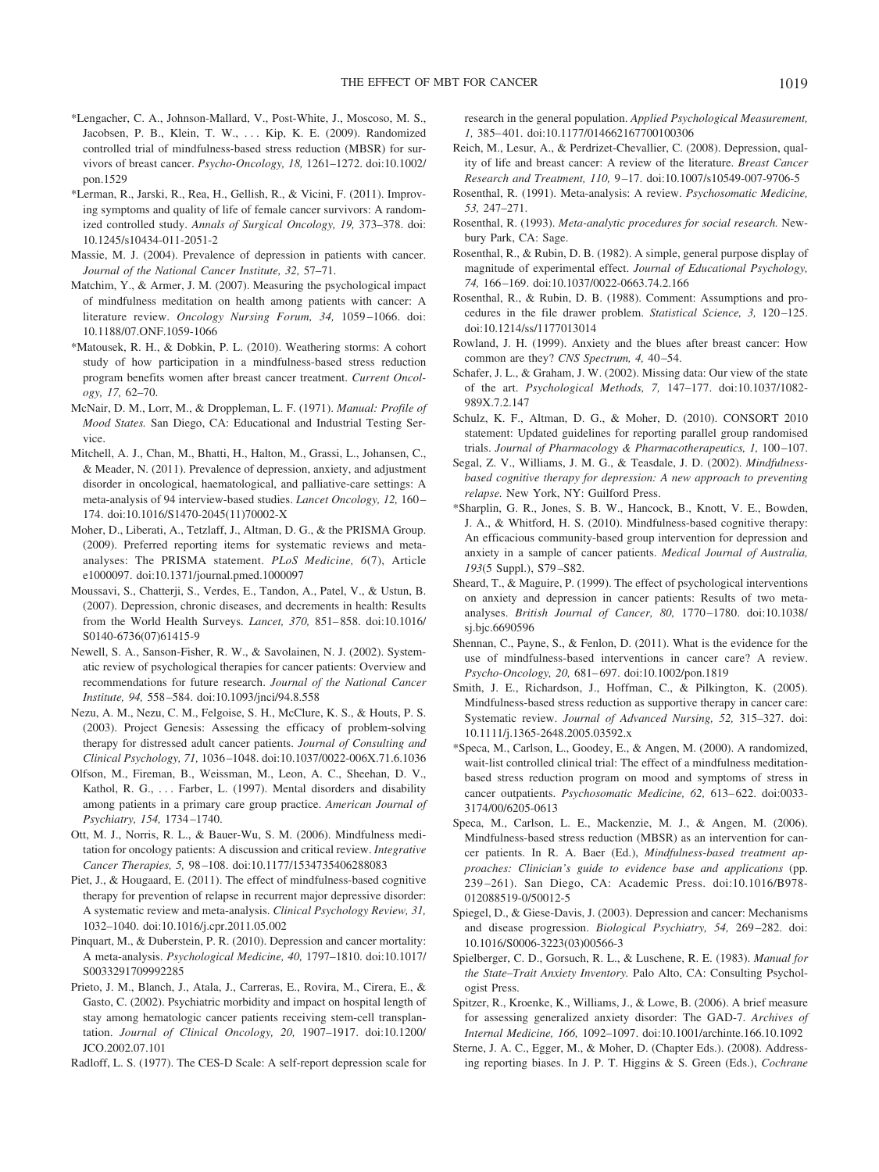- \*Lengacher, C. A., Johnson-Mallard, V., Post-White, J., Moscoso, M. S., Jacobsen, P. B., Klein, T. W., . . . Kip, K. E. (2009). Randomized controlled trial of mindfulness-based stress reduction (MBSR) for survivors of breast cancer. *Psycho-Oncology, 18,* 1261–1272. doi:10.1002/ pon.1529
- \*Lerman, R., Jarski, R., Rea, H., Gellish, R., & Vicini, F. (2011). Improving symptoms and quality of life of female cancer survivors: A randomized controlled study. *Annals of Surgical Oncology, 19,* 373–378. doi: 10.1245/s10434-011-2051-2
- Massie, M. J. (2004). Prevalence of depression in patients with cancer. *Journal of the National Cancer Institute, 32,* 57–71.
- Matchim, Y., & Armer, J. M. (2007). Measuring the psychological impact of mindfulness meditation on health among patients with cancer: A literature review. *Oncology Nursing Forum, 34,* 1059 –1066. doi: 10.1188/07.ONF.1059-1066
- \*Matousek, R. H., & Dobkin, P. L. (2010). Weathering storms: A cohort study of how participation in a mindfulness-based stress reduction program benefits women after breast cancer treatment. *Current Oncology, 17,* 62–70.
- McNair, D. M., Lorr, M., & Droppleman, L. F. (1971). *Manual: Profile of Mood States.* San Diego, CA: Educational and Industrial Testing Service.
- Mitchell, A. J., Chan, M., Bhatti, H., Halton, M., Grassi, L., Johansen, C., & Meader, N. (2011). Prevalence of depression, anxiety, and adjustment disorder in oncological, haematological, and palliative-care settings: A meta-analysis of 94 interview-based studies. *Lancet Oncology, 12,* 160 – 174. doi:10.1016/S1470-2045(11)70002-X
- Moher, D., Liberati, A., Tetzlaff, J., Altman, D. G., & the PRISMA Group. (2009). Preferred reporting items for systematic reviews and metaanalyses: The PRISMA statement. *PLoS Medicine, 6*(7), Article e1000097. doi:10.1371/journal.pmed.1000097
- Moussavi, S., Chatterji, S., Verdes, E., Tandon, A., Patel, V., & Ustun, B. (2007). Depression, chronic diseases, and decrements in health: Results from the World Health Surveys. *Lancet, 370,* 851– 858. doi:10.1016/ S0140-6736(07)61415-9
- Newell, S. A., Sanson-Fisher, R. W., & Savolainen, N. J. (2002). Systematic review of psychological therapies for cancer patients: Overview and recommendations for future research. *Journal of the National Cancer Institute, 94,* 558 –584. doi:10.1093/jnci/94.8.558
- Nezu, A. M., Nezu, C. M., Felgoise, S. H., McClure, K. S., & Houts, P. S. (2003). Project Genesis: Assessing the efficacy of problem-solving therapy for distressed adult cancer patients. *Journal of Consulting and Clinical Psychology, 71,* 1036 –1048. doi:10.1037/0022-006X.71.6.1036
- Olfson, M., Fireman, B., Weissman, M., Leon, A. C., Sheehan, D. V., Kathol, R. G., . . . Farber, L. (1997). Mental disorders and disability among patients in a primary care group practice. *American Journal of Psychiatry, 154,* 1734 –1740.
- Ott, M. J., Norris, R. L., & Bauer-Wu, S. M. (2006). Mindfulness meditation for oncology patients: A discussion and critical review. *Integrative Cancer Therapies, 5,* 98 –108. doi:10.1177/1534735406288083
- Piet, J., & Hougaard, E. (2011). The effect of mindfulness-based cognitive therapy for prevention of relapse in recurrent major depressive disorder: A systematic review and meta-analysis. *Clinical Psychology Review, 31,* 1032–1040. doi:10.1016/j.cpr.2011.05.002
- Pinquart, M., & Duberstein, P. R. (2010). Depression and cancer mortality: A meta-analysis. *Psychological Medicine, 40,* 1797–1810. doi:10.1017/ S0033291709992285
- Prieto, J. M., Blanch, J., Atala, J., Carreras, E., Rovira, M., Cirera, E., & Gasto, C. (2002). Psychiatric morbidity and impact on hospital length of stay among hematologic cancer patients receiving stem-cell transplantation. *Journal of Clinical Oncology, 20,* 1907–1917. doi:10.1200/ JCO.2002.07.101
- Radloff, L. S. (1977). The CES-D Scale: A self-report depression scale for

research in the general population. *Applied Psychological Measurement, 1,* 385– 401. doi:10.1177/014662167700100306

- Reich, M., Lesur, A., & Perdrizet-Chevallier, C. (2008). Depression, quality of life and breast cancer: A review of the literature. *Breast Cancer Research and Treatment, 110,* 9 –17. doi:10.1007/s10549-007-9706-5
- Rosenthal, R. (1991). Meta-analysis: A review. *Psychosomatic Medicine, 53,* 247–271.
- Rosenthal, R. (1993). *Meta-analytic procedures for social research.* Newbury Park, CA: Sage.
- Rosenthal, R., & Rubin, D. B. (1982). A simple, general purpose display of magnitude of experimental effect. *Journal of Educational Psychology, 74,* 166 –169. doi:10.1037/0022-0663.74.2.166
- Rosenthal, R., & Rubin, D. B. (1988). Comment: Assumptions and procedures in the file drawer problem. *Statistical Science, 3,* 120 –125. doi:10.1214/ss/1177013014
- Rowland, J. H. (1999). Anxiety and the blues after breast cancer: How common are they? *CNS Spectrum, 4, 40-54*.
- Schafer, J. L., & Graham, J. W. (2002). Missing data: Our view of the state of the art. *Psychological Methods, 7,* 147–177. doi:10.1037/1082- 989X.7.2.147
- Schulz, K. F., Altman, D. G., & Moher, D. (2010). CONSORT 2010 statement: Updated guidelines for reporting parallel group randomised trials. *Journal of Pharmacology & Pharmacotherapeutics, 1,* 100 –107.
- Segal, Z. V., Williams, J. M. G., & Teasdale, J. D. (2002). *Mindfulnessbased cognitive therapy for depression: A new approach to preventing relapse.* New York, NY: Guilford Press.
- \*Sharplin, G. R., Jones, S. B. W., Hancock, B., Knott, V. E., Bowden, J. A., & Whitford, H. S. (2010). Mindfulness-based cognitive therapy: An efficacious community-based group intervention for depression and anxiety in a sample of cancer patients. *Medical Journal of Australia, 193*(5 Suppl.), S79 –S82.
- Sheard, T., & Maguire, P. (1999). The effect of psychological interventions on anxiety and depression in cancer patients: Results of two metaanalyses. *British Journal of Cancer, 80,* 1770 –1780. doi:10.1038/ sj.bjc.6690596
- Shennan, C., Payne, S., & Fenlon, D. (2011). What is the evidence for the use of mindfulness-based interventions in cancer care? A review. *Psycho-Oncology, 20,* 681– 697. doi:10.1002/pon.1819
- Smith, J. E., Richardson, J., Hoffman, C., & Pilkington, K. (2005). Mindfulness-based stress reduction as supportive therapy in cancer care: Systematic review. *Journal of Advanced Nursing, 52,* 315–327. doi: 10.1111/j.1365-2648.2005.03592.x
- \*Speca, M., Carlson, L., Goodey, E., & Angen, M. (2000). A randomized, wait-list controlled clinical trial: The effect of a mindfulness meditationbased stress reduction program on mood and symptoms of stress in cancer outpatients. *Psychosomatic Medicine, 62,* 613– 622. doi:0033- 3174/00/6205-0613
- Speca, M., Carlson, L. E., Mackenzie, M. J., & Angen, M. (2006). Mindfulness-based stress reduction (MBSR) as an intervention for cancer patients. In R. A. Baer (Ed.), *Mindfulness-based treatment approaches: Clinician's guide to evidence base and applications* (pp. 239 –261). San Diego, CA: Academic Press. doi:10.1016/B978- 012088519-0/50012-5
- Spiegel, D., & Giese-Davis, J. (2003). Depression and cancer: Mechanisms and disease progression. *Biological Psychiatry, 54,* 269 –282. doi: 10.1016/S0006-3223(03)00566-3
- Spielberger, C. D., Gorsuch, R. L., & Luschene, R. E. (1983). *Manual for the State–Trait Anxiety Inventory.* Palo Alto, CA: Consulting Psychologist Press.
- Spitzer, R., Kroenke, K., Williams, J., & Lowe, B. (2006). A brief measure for assessing generalized anxiety disorder: The GAD-7. *Archives of Internal Medicine, 166,* 1092–1097. doi:10.1001/archinte.166.10.1092
- Sterne, J. A. C., Egger, M., & Moher, D. (Chapter Eds.). (2008). Addressing reporting biases. In J. P. T. Higgins & S. Green (Eds.), *Cochrane*